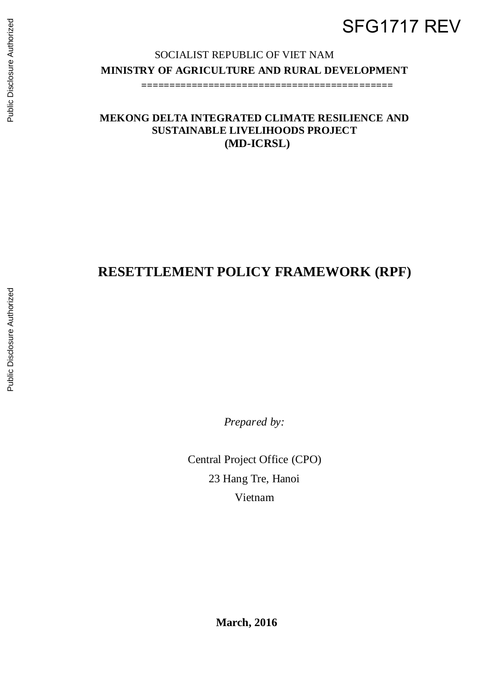# SFG1717 REV

## SOCIALIST REPUBLIC OF VIET NAM **MINISTRY OF AGRICULTURE AND RURAL DEVELOPMENT**

**=============================================** 

## **MEKONG DELTA INTEGRATED CLIMATE RESILIENCE AND SUSTAINABLE LIVELIHOODS PROJECT (MD-ICRSL)**

## **RESETTLEMENT POLICY FRAMEWORK (RPF)**

*Prepared by:* 

Central Project Office (CPO) 23 Hang Tre, Hanoi Vietnam

Public Disclosure Authorized

Public Disclosure Authorized

**March, 2016**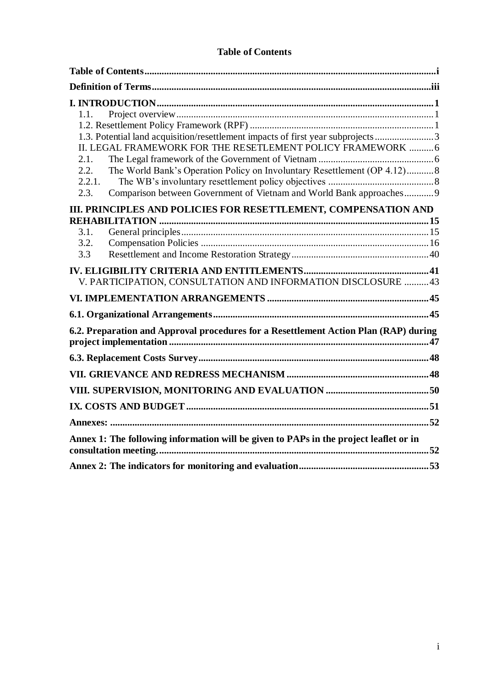## **Table of Contents**

<span id="page-1-0"></span>

| 1.1.                                                                                  |  |
|---------------------------------------------------------------------------------------|--|
|                                                                                       |  |
| 1.3. Potential land acquisition/resettlement impacts of first year subprojects3       |  |
| II. LEGAL FRAMEWORK FOR THE RESETLEMENT POLICY FRAMEWORK  6                           |  |
| 2.1.                                                                                  |  |
| The World Bank's Operation Policy on Involuntary Resettlement (OP 4.12)8<br>2.2.      |  |
| 2.2.1.                                                                                |  |
| 2.3.<br>Comparison between Government of Vietnam and World Bank approaches9           |  |
| III. PRINCIPLES AND POLICIES FOR RESETTLEMENT, COMPENSATION AND                       |  |
|                                                                                       |  |
| 3.1.                                                                                  |  |
| 3.2.                                                                                  |  |
| 3.3                                                                                   |  |
|                                                                                       |  |
| V. PARTICIPATION, CONSULTATION AND INFORMATION DISCLOSURE  43                         |  |
|                                                                                       |  |
|                                                                                       |  |
| 6.2. Preparation and Approval procedures for a Resettlement Action Plan (RAP) during  |  |
|                                                                                       |  |
|                                                                                       |  |
|                                                                                       |  |
|                                                                                       |  |
|                                                                                       |  |
|                                                                                       |  |
| Annex 1: The following information will be given to PAPs in the project leaflet or in |  |
|                                                                                       |  |
|                                                                                       |  |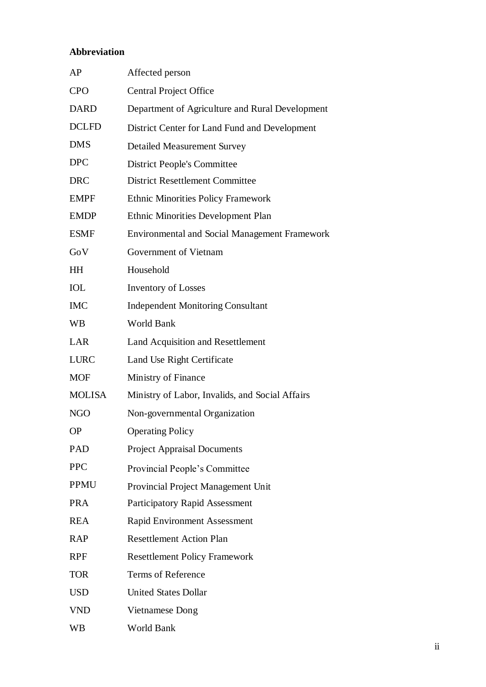## **Abbreviation**

| AP            | Affected person                                      |
|---------------|------------------------------------------------------|
| <b>CPO</b>    | <b>Central Project Office</b>                        |
| <b>DARD</b>   | Department of Agriculture and Rural Development      |
| <b>DCLFD</b>  | District Center for Land Fund and Development        |
| <b>DMS</b>    | <b>Detailed Measurement Survey</b>                   |
| <b>DPC</b>    | <b>District People's Committee</b>                   |
| <b>DRC</b>    | <b>District Resettlement Committee</b>               |
| <b>EMPF</b>   | <b>Ethnic Minorities Policy Framework</b>            |
| <b>EMDP</b>   | Ethnic Minorities Development Plan                   |
| <b>ESMF</b>   | <b>Environmental and Social Management Framework</b> |
| GoV           | Government of Vietnam                                |
| <b>HH</b>     | Household                                            |
| <b>IOL</b>    | <b>Inventory of Losses</b>                           |
| <b>IMC</b>    | <b>Independent Monitoring Consultant</b>             |
| <b>WB</b>     | World Bank                                           |
| LAR           | Land Acquisition and Resettlement                    |
| <b>LURC</b>   | Land Use Right Certificate                           |
| <b>MOF</b>    | Ministry of Finance                                  |
| <b>MOLISA</b> | Ministry of Labor, Invalids, and Social Affairs      |
| <b>NGO</b>    | Non-governmental Organization                        |
| ΟP            | <b>Operating Policy</b>                              |
| <b>PAD</b>    | <b>Project Appraisal Documents</b>                   |
| <b>PPC</b>    | Provincial People's Committee                        |
| <b>PPMU</b>   | Provincial Project Management Unit                   |
| <b>PRA</b>    | <b>Participatory Rapid Assessment</b>                |
| <b>REA</b>    | <b>Rapid Environment Assessment</b>                  |
| <b>RAP</b>    | <b>Resettlement Action Plan</b>                      |
| <b>RPF</b>    | <b>Resettlement Policy Framework</b>                 |
| <b>TOR</b>    | Terms of Reference                                   |
| <b>USD</b>    | <b>United States Dollar</b>                          |
| <b>VND</b>    | Vietnamese Dong                                      |
| WB            | World Bank                                           |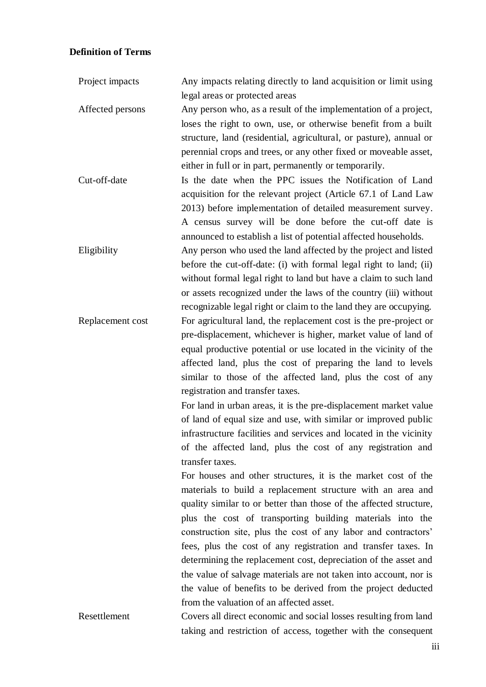#### <span id="page-3-0"></span>**Definition of Terms**

Project impacts Any impacts relating directly to land acquisition or limit using legal areas or protected areas Affected persons Any person who, as a result of the implementation of a project,

loses the right to own, use, or otherwise benefit from a built structure, land (residential, agricultural, or pasture), annual or perennial crops and trees, or any other fixed or moveable asset, either in full or in part, permanently or temporarily.

Cut-off-date Is the date when the PPC issues the Notification of Land acquisition for the relevant project (Article 67.1 of Land Law 2013) before implementation of detailed measurement survey. A census survey will be done before the cut-off date is announced to establish a list of potential affected households.

Eligibility Any person who used the land affected by the project and listed before the cut-off-date: (i) with formal legal right to land; (ii) without formal legal right to land but have a claim to such land or assets recognized under the laws of the country (iii) without recognizable legal right or claim to the land they are occupying.

Replacement cost For agricultural land, the replacement cost is the pre-project or pre-displacement, whichever is higher, market value of land of equal productive potential or use located in the vicinity of the affected land, plus the cost of preparing the land to levels similar to those of the affected land, plus the cost of any registration and transfer taxes.

> For land in urban areas, it is the pre-displacement market value of land of equal size and use, with similar or improved public infrastructure facilities and services and located in the vicinity of the affected land, plus the cost of any registration and transfer taxes.

For houses and other structures, it is the market cost of the materials to build a replacement structure with an area and quality similar to or better than those of the affected structure, plus the cost of transporting building materials into the construction site, plus the cost of any labor and contractors' fees, plus the cost of any registration and transfer taxes. In determining the replacement cost, depreciation of the asset and the value of salvage materials are not taken into account, nor is the value of benefits to be derived from the project deducted from the valuation of an affected asset.

Resettlement Covers all direct economic and social losses resulting from land taking and restriction of access, together with the consequent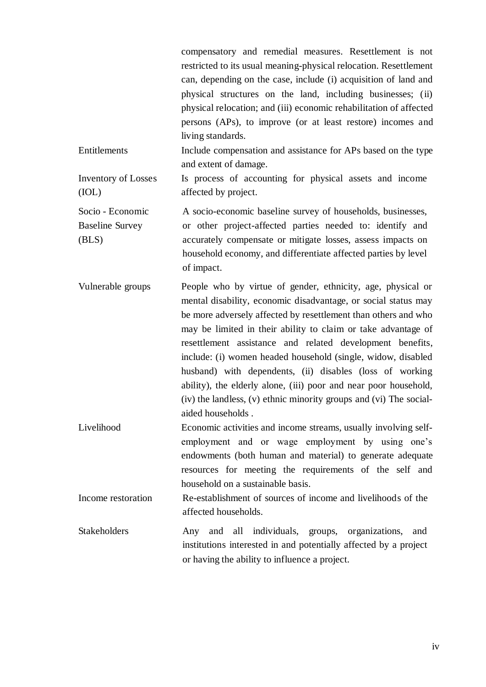|                                                     | compensatory and remedial measures. Resettlement is not<br>restricted to its usual meaning-physical relocation. Resettlement<br>can, depending on the case, include (i) acquisition of land and<br>physical structures on the land, including businesses; (ii)<br>physical relocation; and (iii) economic rehabilitation of affected<br>persons (APs), to improve (or at least restore) incomes and<br>living standards.                                                                                                                                                                                                 |
|-----------------------------------------------------|--------------------------------------------------------------------------------------------------------------------------------------------------------------------------------------------------------------------------------------------------------------------------------------------------------------------------------------------------------------------------------------------------------------------------------------------------------------------------------------------------------------------------------------------------------------------------------------------------------------------------|
| Entitlements                                        | Include compensation and assistance for APs based on the type<br>and extent of damage.                                                                                                                                                                                                                                                                                                                                                                                                                                                                                                                                   |
| <b>Inventory of Losses</b><br>(IOL)                 | Is process of accounting for physical assets and income<br>affected by project.                                                                                                                                                                                                                                                                                                                                                                                                                                                                                                                                          |
| Socio - Economic<br><b>Baseline Survey</b><br>(BLS) | A socio-economic baseline survey of households, businesses,<br>or other project-affected parties needed to: identify and<br>accurately compensate or mitigate losses, assess impacts on<br>household economy, and differentiate affected parties by level<br>of impact.                                                                                                                                                                                                                                                                                                                                                  |
| Vulnerable groups                                   | People who by virtue of gender, ethnicity, age, physical or<br>mental disability, economic disadvantage, or social status may<br>be more adversely affected by resettlement than others and who<br>may be limited in their ability to claim or take advantage of<br>resettlement assistance and related development benefits,<br>include: (i) women headed household (single, widow, disabled<br>husband) with dependents, (ii) disables (loss of working<br>ability), the elderly alone, (iii) poor and near poor household,<br>(iv) the landless, (v) ethnic minority groups and (vi) The social-<br>aided households. |
| Livelihood                                          | Economic activities and income streams, usually involving self-<br>employment and or wage employment by using one's<br>endowments (both human and material) to generate adequate<br>resources for meeting the requirements of the self and<br>household on a sustainable basis.                                                                                                                                                                                                                                                                                                                                          |
| Income restoration                                  | Re-establishment of sources of income and livelihoods of the<br>affected households.                                                                                                                                                                                                                                                                                                                                                                                                                                                                                                                                     |
| Stakeholders                                        | Any and all individuals, groups, organizations,<br>and<br>institutions interested in and potentially affected by a project<br>or having the ability to influence a project.                                                                                                                                                                                                                                                                                                                                                                                                                                              |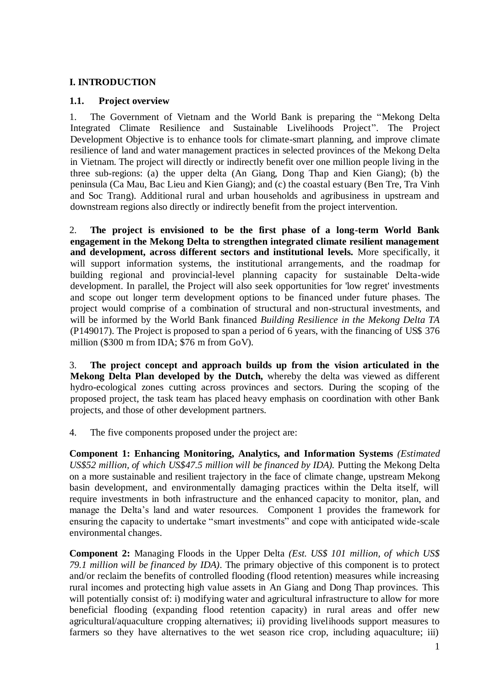#### <span id="page-5-0"></span>**I. INTRODUCTION**

#### <span id="page-5-1"></span>**1.1. Project overview**

1. The Government of Vietnam and the World Bank is preparing the "Mekong Delta Integrated Climate Resilience and Sustainable Livelihoods Project". The Project Development Objective is to enhance tools for climate-smart planning, and improve climate resilience of land and water management practices in selected provinces of the Mekong Delta in Vietnam. The project will directly or indirectly benefit over one million people living in the three sub-regions: (a) the upper delta (An Giang, Dong Thap and Kien Giang); (b) the peninsula (Ca Mau, Bac Lieu and Kien Giang); and (c) the coastal estuary (Ben Tre, Tra Vinh and Soc Trang). Additional rural and urban households and agribusiness in upstream and downstream regions also directly or indirectly benefit from the project intervention.

2. **The project is envisioned to be the first phase of a long-term World Bank engagement in the Mekong Delta to strengthen integrated climate resilient management and development, across different sectors and institutional levels.** More specifically, it will support information systems, the institutional arrangements, and the roadmap for building regional and provincial-level planning capacity for sustainable Delta-wide development. In parallel, the Project will also seek opportunities for 'low regret' investments and scope out longer term development options to be financed under future phases. The project would comprise of a combination of structural and non-structural investments, and will be informed by the World Bank financed *Building Resilience in the Mekong Delta TA* (P149017). The Project is proposed to span a period of 6 years, with the financing of US\$ 376 million (\$300 m from IDA; \$76 m from GoV).

3. **The project concept and approach builds up from the vision articulated in the Mekong Delta Plan developed by the Dutch,** whereby the delta was viewed as different hydro-ecological zones cutting across provinces and sectors. During the scoping of the proposed project, the task team has placed heavy emphasis on coordination with other Bank projects, and those of other development partners.

4. The five components proposed under the project are:

<span id="page-5-2"></span>**Component 1: Enhancing Monitoring, Analytics, and Information Systems** *(Estimated US\$52 million, of which US\$47.5 million will be financed by IDA).* Putting the Mekong Delta on a more sustainable and resilient trajectory in the face of climate change, upstream Mekong basin development, and environmentally damaging practices within the Delta itself, will require investments in both infrastructure and the enhanced capacity to monitor, plan, and manage the Delta's land and water resources. Component 1 provides the framework for ensuring the capacity to undertake "smart investments" and cope with anticipated wide-scale environmental changes.

**Component 2:** Managing Floods in the Upper Delta *(Est. US\$ 101 million, of which US\$ 79.1 million will be financed by IDA)*. The primary objective of this component is to protect and/or reclaim the benefits of controlled flooding (flood retention) measures while increasing rural incomes and protecting high value assets in An Giang and Dong Thap provinces. This will potentially consist of: i) modifying water and agricultural infrastructure to allow for more beneficial flooding (expanding flood retention capacity) in rural areas and offer new agricultural/aquaculture cropping alternatives; ii) providing livelihoods support measures to farmers so they have alternatives to the wet season rice crop, including aquaculture; iii)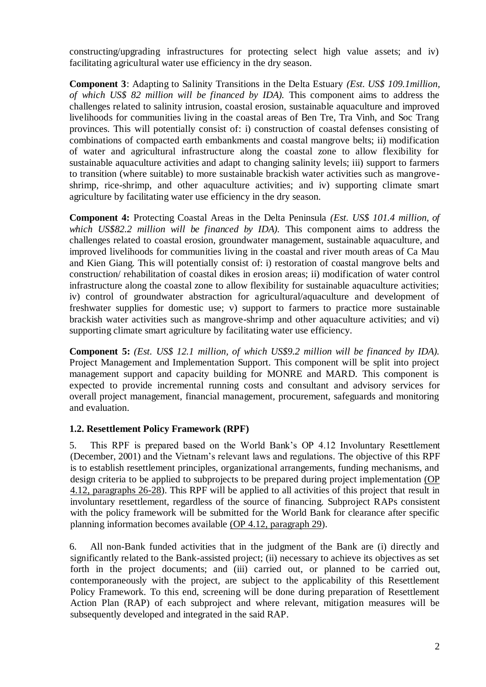constructing/upgrading infrastructures for protecting select high value assets; and iv) facilitating agricultural water use efficiency in the dry season.

**Component 3**: Adapting to Salinity Transitions in the Delta Estuary *(Est. US\$ 109.1million, of which US\$ 82 million will be financed by IDA).* This component aims to address the challenges related to salinity intrusion, coastal erosion, sustainable aquaculture and improved livelihoods for communities living in the coastal areas of Ben Tre, Tra Vinh, and Soc Trang provinces. This will potentially consist of: i) construction of coastal defenses consisting of combinations of compacted earth embankments and coastal mangrove belts; ii) modification of water and agricultural infrastructure along the coastal zone to allow flexibility for sustainable aquaculture activities and adapt to changing salinity levels; iii) support to farmers to transition (where suitable) to more sustainable brackish water activities such as mangroveshrimp, rice-shrimp, and other aquaculture activities; and iv) supporting climate smart agriculture by facilitating water use efficiency in the dry season.

**Component 4:** Protecting Coastal Areas in the Delta Peninsula *(Est. US\$ 101.4 million, of which US\$82.2 million will be financed by IDA).* This component aims to address the challenges related to coastal erosion, groundwater management, sustainable aquaculture, and improved livelihoods for communities living in the coastal and river mouth areas of Ca Mau and Kien Giang. This will potentially consist of: i) restoration of coastal mangrove belts and construction/ rehabilitation of coastal dikes in erosion areas; ii) modification of water control infrastructure along the coastal zone to allow flexibility for sustainable aquaculture activities; iv) control of groundwater abstraction for agricultural/aquaculture and development of freshwater supplies for domestic use; v) support to farmers to practice more sustainable brackish water activities such as mangrove-shrimp and other aquaculture activities; and vi) supporting climate smart agriculture by facilitating water use efficiency.

**Component 5:** *(Est. US\$ 12.1 million, of which US\$9.2 million will be financed by IDA).* Project Management and Implementation Support. This component will be split into project management support and capacity building for MONRE and MARD. This component is expected to provide incremental running costs and consultant and advisory services for overall project management, financial management, procurement, safeguards and monitoring and evaluation.

#### **1.2. Resettlement Policy Framework (RPF)**

5. This RPF is prepared based on the World Bank's OP 4.12 Involuntary Resettlement (December, 2001) and the Vietnam's relevant laws and regulations. The objective of this RPF is to establish resettlement principles, organizational arrangements, funding mechanisms, and design criteria to be applied to subprojects to be prepared during project implementation [\(OP](http://web.worldbank.org/WBSITE/EXTERNAL/PROJECTS/EXTPOLICIES/EXTOPMANUAL/0,,contentMDK:20064610~menuPK:64701637~pagePK:64709096~piPK:64709108~theSitePK:502184~isCURL:Y,00.html)  [4.12, paragraphs 26-28\)](http://web.worldbank.org/WBSITE/EXTERNAL/PROJECTS/EXTPOLICIES/EXTOPMANUAL/0,,contentMDK:20064610~menuPK:64701637~pagePK:64709096~piPK:64709108~theSitePK:502184~isCURL:Y,00.html). This RPF will be applied to all activities of this project that result in involuntary resettlement, regardless of the source of financing. Subproject RAPs consistent with the policy framework will be submitted for the World Bank for clearance after specific planning information becomes available [\(OP 4.12, paragraph 29\)](http://web.worldbank.org/WBSITE/EXTERNAL/PROJECTS/EXTPOLICIES/EXTOPMANUAL/0,,contentMDK:20064610~menuPK:64701637~pagePK:64709096~piPK:64709108~theSitePK:502184~isCURL:Y,00.html).

6. All non-Bank funded activities that in the judgment of the Bank are (i) directly and significantly related to the Bank-assisted project; (ii) necessary to achieve its objectives as set forth in the project documents; and (iii) carried out, or planned to be carried out, contemporaneously with the project, are subject to the applicability of this Resettlement Policy Framework. To this end, screening will be done during preparation of Resettlement Action Plan (RAP) of each subproject and where relevant, mitigation measures will be subsequently developed and integrated in the said RAP.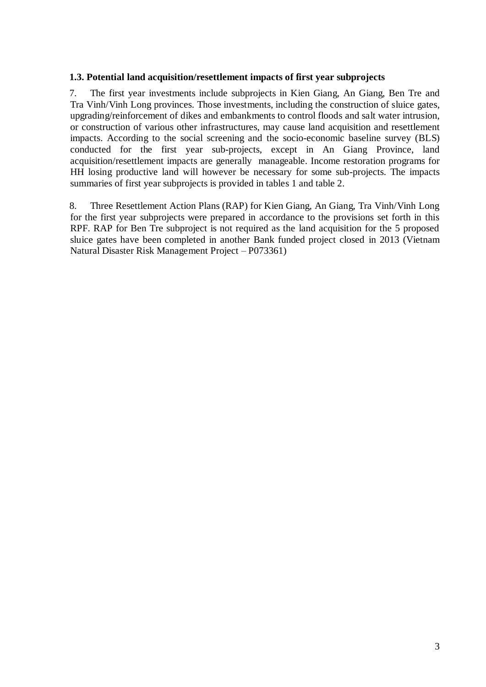#### <span id="page-7-0"></span>**1.3. Potential land acquisition/resettlement impacts of first year subprojects**

7. The first year investments include subprojects in Kien Giang, An Giang, Ben Tre and Tra Vinh/Vinh Long provinces. Those investments, including the construction of sluice gates, upgrading/reinforcement of dikes and embankments to control floods and salt water intrusion, or construction of various other infrastructures, may cause land acquisition and resettlement impacts. According to the social screening and the socio-economic baseline survey (BLS) conducted for the first year sub-projects, except in An Giang Province, land acquisition/resettlement impacts are generally manageable. Income restoration programs for HH losing productive land will however be necessary for some sub-projects. The impacts summaries of first year subprojects is provided in tables 1 and table 2.

8. Three Resettlement Action Plans (RAP) for Kien Giang, An Giang, Tra Vinh/Vinh Long for the first year subprojects were prepared in accordance to the provisions set forth in this RPF. RAP for Ben Tre subproject is not required as the land acquisition for the 5 proposed sluice gates have been completed in another Bank funded project closed in 2013 (Vietnam Natural Disaster Risk Management Project – P073361)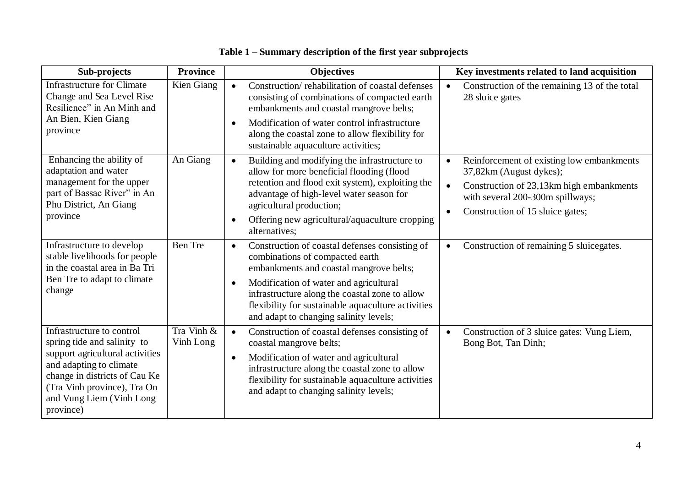| Sub-projects                                                                                                                                                                                                                    | <b>Province</b>                                       | <b>Objectives</b>                                                                                                                                                                                                                                                                                                                                  | Key investments related to land acquisition                                                                                                                                                                        |
|---------------------------------------------------------------------------------------------------------------------------------------------------------------------------------------------------------------------------------|-------------------------------------------------------|----------------------------------------------------------------------------------------------------------------------------------------------------------------------------------------------------------------------------------------------------------------------------------------------------------------------------------------------------|--------------------------------------------------------------------------------------------------------------------------------------------------------------------------------------------------------------------|
| <b>Infrastructure for Climate</b><br>Change and Sea Level Rise<br>Resilience" in An Minh and<br>An Bien, Kien Giang<br>province                                                                                                 | Kien Giang                                            | Construction/rehabilitation of coastal defenses<br>$\bullet$<br>consisting of combinations of compacted earth<br>embankments and coastal mangrove belts;<br>Modification of water control infrastructure<br>$\bullet$<br>along the coastal zone to allow flexibility for<br>sustainable aquaculture activities;                                    | Construction of the remaining 13 of the total<br>28 sluice gates                                                                                                                                                   |
| Enhancing the ability of<br>adaptation and water<br>management for the upper<br>part of Bassac River" in An<br>Phu District, An Giang<br>province                                                                               | An Giang                                              | Building and modifying the infrastructure to<br>$\bullet$<br>allow for more beneficial flooding (flood<br>retention and flood exit system), exploiting the<br>advantage of high-level water season for<br>agricultural production;<br>Offering new agricultural/aquaculture cropping<br>$\bullet$<br>alternatives;                                 | Reinforcement of existing low embankments<br>$\bullet$<br>37,82km (August dykes);<br>Construction of 23,13km high embankments<br>$\bullet$<br>with several 200-300m spillways;<br>Construction of 15 sluice gates; |
| Infrastructure to develop<br>stable livelihoods for people<br>in the coastal area in Ba Tri<br>Ben Tre to adapt to climate<br>change                                                                                            | <b>Ben</b> Tre                                        | Construction of coastal defenses consisting of<br>$\bullet$<br>combinations of compacted earth<br>embankments and coastal mangrove belts;<br>Modification of water and agricultural<br>$\bullet$<br>infrastructure along the coastal zone to allow<br>flexibility for sustainable aquaculture activities<br>and adapt to changing salinity levels; | Construction of remaining 5 sluicegates.<br>$\bullet$                                                                                                                                                              |
| Infrastructure to control<br>spring tide and salinity to<br>support agricultural activities<br>and adapting to climate<br>change in districts of Cau Ke<br>(Tra Vinh province), Tra On<br>and Vung Liem (Vinh Long<br>province) | $\overline{\text{Tr}}a \text{ Vinh } \&$<br>Vinh Long | Construction of coastal defenses consisting of<br>$\bullet$<br>coastal mangrove belts;<br>Modification of water and agricultural<br>$\bullet$<br>infrastructure along the coastal zone to allow<br>flexibility for sustainable aquaculture activities<br>and adapt to changing salinity levels;                                                    | Construction of 3 sluice gates: Vung Liem,<br>$\bullet$<br>Bong Bot, Tan Dinh;                                                                                                                                     |

## **Table 1 – Summary description of the first year subprojects**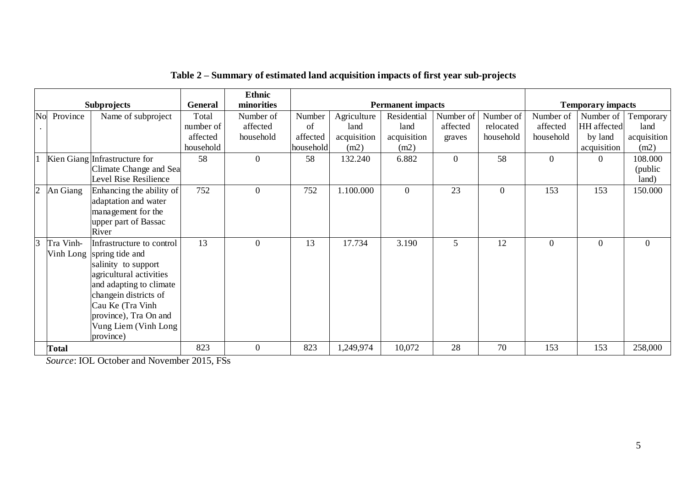|                |              | <b>Subprojects</b>            | <b>General</b>     | <b>Ethnic</b><br>minorities |              |                     | <b>Permanent impacts</b> |                       |                |                       | <b>Temporary impacts</b> |                   |
|----------------|--------------|-------------------------------|--------------------|-----------------------------|--------------|---------------------|--------------------------|-----------------------|----------------|-----------------------|--------------------------|-------------------|
| No             | Province     |                               |                    | Number of                   |              |                     | Residential              |                       | Number of      |                       |                          |                   |
|                |              | Name of subproject            | Total<br>number of | affected                    | Number<br>of | Agriculture<br>land | land                     | Number of<br>affected | relocated      | Number of<br>affected | Number of<br>HH affected | Temporary<br>land |
|                |              |                               |                    |                             |              |                     |                          |                       |                |                       |                          |                   |
|                |              |                               | affected           | household                   | affected     | acquisition         | acquisition              | graves                | household      | household             | by land                  | acquisition       |
|                |              |                               | household          |                             | household    | (m2)                | (m2)                     |                       |                |                       | acquisition              | (m2)              |
|                |              | Kien Giang Infrastructure for | 58                 | $\overline{0}$              | 58           | 132.240             | 6.882                    | $\mathbf{0}$          | 58             | $\overline{0}$        | $\overline{0}$           | 108.000           |
|                |              | Climate Change and Sea        |                    |                             |              |                     |                          |                       |                |                       |                          | (public           |
|                |              | Level Rise Resilience         |                    |                             |              |                     |                          |                       |                |                       |                          | land)             |
| $\overline{2}$ | An Giang     | Enhancing the ability of      | 752                | $\boldsymbol{0}$            | 752          | 1.100.000           | $\overline{0}$           | 23                    | $\overline{0}$ | 153                   | 153                      | 150.000           |
|                |              | adaptation and water          |                    |                             |              |                     |                          |                       |                |                       |                          |                   |
|                |              | management for the            |                    |                             |              |                     |                          |                       |                |                       |                          |                   |
|                |              | upper part of Bassac          |                    |                             |              |                     |                          |                       |                |                       |                          |                   |
|                |              | River                         |                    |                             |              |                     |                          |                       |                |                       |                          |                   |
| $\overline{3}$ | Tra Vinh-    | Infrastructure to control     | 13                 | $\boldsymbol{0}$            | 13           | 17.734              | 3.190                    | 5                     | 12             | $\overline{0}$        | $\overline{0}$           | $\overline{0}$    |
|                | Vinh Long    | spring tide and               |                    |                             |              |                     |                          |                       |                |                       |                          |                   |
|                |              | salinity to support           |                    |                             |              |                     |                          |                       |                |                       |                          |                   |
|                |              | agricultural activities       |                    |                             |              |                     |                          |                       |                |                       |                          |                   |
|                |              | and adapting to climate       |                    |                             |              |                     |                          |                       |                |                       |                          |                   |
|                |              | changein districts of         |                    |                             |              |                     |                          |                       |                |                       |                          |                   |
|                |              | Cau Ke (Tra Vinh              |                    |                             |              |                     |                          |                       |                |                       |                          |                   |
|                |              | province), Tra On and         |                    |                             |              |                     |                          |                       |                |                       |                          |                   |
|                |              | Vung Liem (Vinh Long          |                    |                             |              |                     |                          |                       |                |                       |                          |                   |
|                |              | province)                     |                    |                             |              |                     |                          |                       |                |                       |                          |                   |
|                | <b>Total</b> |                               | 823                | $\overline{0}$              | 823          | 1,249,974           | 10,072                   | 28                    | 70             | 153                   | 153                      | 258,000           |

## **Table 2 – Summary of estimated land acquisition impacts of first year sub-projects**

*Source*: IOL October and November 2015, FSs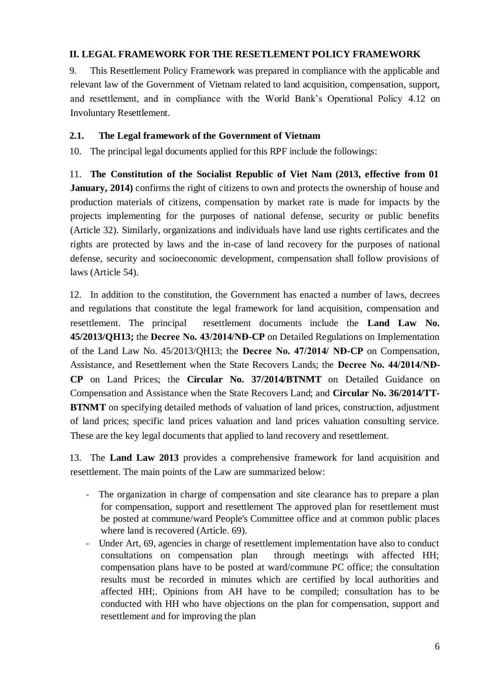#### <span id="page-10-0"></span>**II. LEGAL FRAMEWORK FOR THE RESETLEMENT POLICY FRAMEWORK**

9. This Resettlement Policy Framework was prepared in compliance with the applicable and relevant law of the Government of Vietnam related to land acquisition, compensation, support, and resettlement, and in compliance with the World Bank's Operational Policy 4.12 on Involuntary Resettlement.

#### <span id="page-10-1"></span>**2.1. The Legal framework of the Government of Vietnam**

10. The principal legal documents applied for this RPF include the followings:

11. **The Constitution of the Socialist Republic of Viet Nam (2013, effective from 01 January, 2014)** confirms the right of citizens to own and protects the ownership of house and production materials of citizens, compensation by market rate is made for impacts by the projects implementing for the purposes of national defense, security or public benefits (Article 32). Similarly, organizations and individuals have land use rights certificates and the rights are protected by laws and the in-case of land recovery for the purposes of national defense, security and socioeconomic development, compensation shall follow provisions of laws (Article 54).

12. In addition to the constitution, the Government has enacted a number of laws, decrees and regulations that constitute the legal framework for land acquisition, compensation and resettlement. The principal resettlement documents include the **Land Law No. 45/2013/QH13;** the **Decree No. 43/2014/NĐ-CP** on Detailed Regulations on Implementation of the Land Law No. 45/2013/QH13; the **Decree No. 47/2014/ NĐ-CP** on Compensation, Assistance, and Resettlement when the State Recovers Lands; the **Decree No. 44/2014/NĐ-CP** on Land Prices; the **Circular No. 37/2014/BTNMT** on Detailed Guidance on Compensation and Assistance when the State Recovers Land; and **Circular No. 36/2014/TT-BTNMT** on specifying detailed methods of valuation of land prices, construction, adjustment of land prices; specific land prices valuation and land prices valuation consulting service. These are the key legal documents that applied to land recovery and resettlement.

13. The **Land Law 2013** provides a comprehensive framework for land acquisition and resettlement. The main points of the Law are summarized below:

- The organization in charge of compensation and site clearance has to prepare a plan for compensation, support and resettlement The approved plan for resettlement must be posted at commune/ward People's Committee office and at common public places where land is recovered (Article. 69).
- Under Art, 69, agencies in charge of resettlement implementation have also to conduct consultations on compensation plan through meetings with affected HH; compensation plans have to be posted at ward/commune PC office; the consultation results must be recorded in minutes which are certified by local authorities and affected HH;. Opinions from AH have to be compiled; consultation has to be conducted with HH who have objections on the plan for compensation, support and resettlement and for improving the plan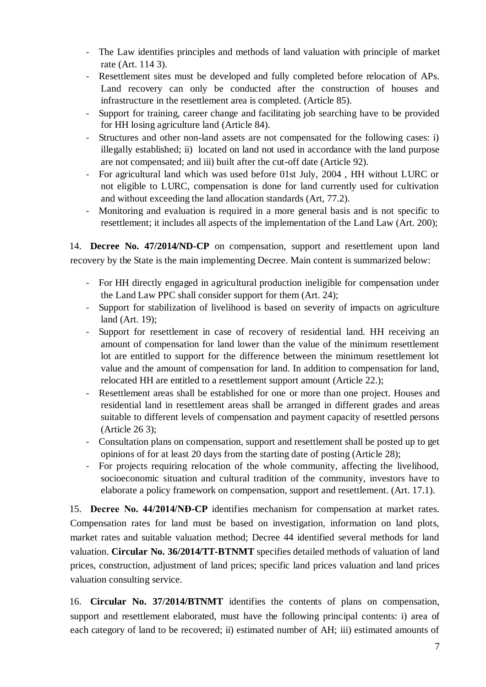- The Law identifies principles and methods of land valuation with principle of market rate (Art. 114 3).
- Resettlement sites must be developed and fully completed before relocation of APs. Land recovery can only be conducted after the construction of houses and infrastructure in the resettlement area is completed. (Article 85).
- Support for training, career change and facilitating job searching have to be provided for HH losing agriculture land (Article 84).
- Structures and other non-land assets are not compensated for the following cases: i) illegally established; ii) located on land not used in accordance with the land purpose are not compensated; and iii) built after the cut-off date (Article 92).
- For agricultural land which was used before 01st July, 2004 , HH without LURC or not eligible to LURC, compensation is done for land currently used for cultivation and without exceeding the land allocation standards (Art, 77.2).
- Monitoring and evaluation is required in a more general basis and is not specific to resettlement; it includes all aspects of the implementation of the Land Law (Art. 200);

14. **Decree No. 47/2014/ND-CP** on compensation, support and resettlement upon land recovery by the State is the main implementing Decree. Main content is summarized below:

- For HH directly engaged in agricultural production ineligible for compensation under the Land Law PPC shall consider support for them (Art. 24);
- Support for stabilization of livelihood is based on severity of impacts on agriculture land (Art. 19);
- Support for resettlement in case of recovery of residential land. HH receiving an amount of compensation for land lower than the value of the minimum resettlement lot are entitled to support for the difference between the minimum resettlement lot value and the amount of compensation for land. In addition to compensation for land, relocated HH are entitled to a resettlement support amount (Article 22.);
- Resettlement areas shall be established for one or more than one project. Houses and residential land in resettlement areas shall be arranged in different grades and areas suitable to different levels of compensation and payment capacity of resettled persons (Article 26 3);
- Consultation plans on compensation, support and resettlement shall be posted up to get opinions of for at least 20 days from the starting date of posting (Article 28);
- For projects requiring relocation of the whole community, affecting the livelihood, socioeconomic situation and cultural tradition of the community, investors have to elaborate a policy framework on compensation, support and resettlement. (Art. 17.1).

15. **Decree No. 44/2014/NĐ-CP** identifies mechanism for compensation at market rates. Compensation rates for land must be based on investigation, information on land plots, market rates and suitable valuation method; Decree 44 identified several methods for land valuation. **Circular No. 36/2014/TT-BTNMT** specifies detailed methods of valuation of land prices, construction, adjustment of land prices; specific land prices valuation and land prices valuation consulting service.

16. **Circular No. 37/2014/BTNMT** identifies the contents of plans on compensation, support and resettlement elaborated, must have the following principal contents: i) area of each category of land to be recovered; ii) estimated number of AH; iii) estimated amounts of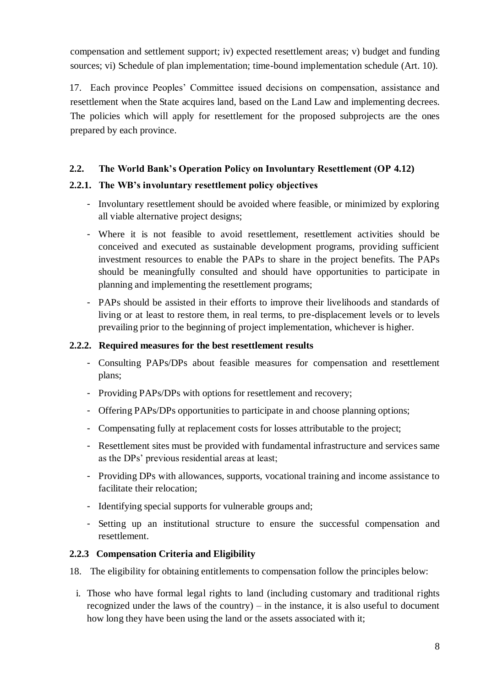compensation and settlement support; iv) expected resettlement areas; v) budget and funding sources; vi) Schedule of plan implementation; time-bound implementation schedule (Art. 10).

17. Each province Peoples' Committee issued decisions on compensation, assistance and resettlement when the State acquires land, based on the Land Law and implementing decrees. The policies which will apply for resettlement for the proposed subprojects are the ones prepared by each province.

### <span id="page-12-0"></span>**2.2. The World Bank's Operation Policy on Involuntary Resettlement (OP 4.12)**

#### <span id="page-12-1"></span>**2.2.1. The WB's involuntary resettlement policy objectives**

- Involuntary resettlement should be avoided where feasible, or minimized by exploring all viable alternative project designs;
- Where it is not feasible to avoid resettlement, resettlement activities should be conceived and executed as sustainable development programs, providing sufficient investment resources to enable the PAPs to share in the project benefits. The PAPs should be meaningfully consulted and should have opportunities to participate in planning and implementing the resettlement programs;
- PAPs should be assisted in their efforts to improve their livelihoods and standards of living or at least to restore them, in real terms, to pre-displacement levels or to levels prevailing prior to the beginning of project implementation, whichever is higher.

#### **2.2.2. Required measures for the best resettlement results**

- Consulting PAPs/DPs about feasible measures for compensation and resettlement plans;
- Providing PAPs/DPs with options for resettlement and recovery;
- Offering PAPs/DPs opportunities to participate in and choose planning options;
- Compensating fully at replacement costs for losses attributable to the project;
- Resettlement sites must be provided with fundamental infrastructure and services same as the DPs' previous residential areas at least;
- Providing DPs with allowances, supports, vocational training and income assistance to facilitate their relocation;
- Identifying special supports for vulnerable groups and;
- Setting up an institutional structure to ensure the successful compensation and resettlement.

#### **2.2.3 Compensation Criteria and Eligibility**

- 18. The eligibility for obtaining entitlements to compensation follow the principles below:
- i. Those who have formal legal rights to land (including customary and traditional rights recognized under the laws of the country) – in the instance, it is also useful to document how long they have been using the land or the assets associated with it;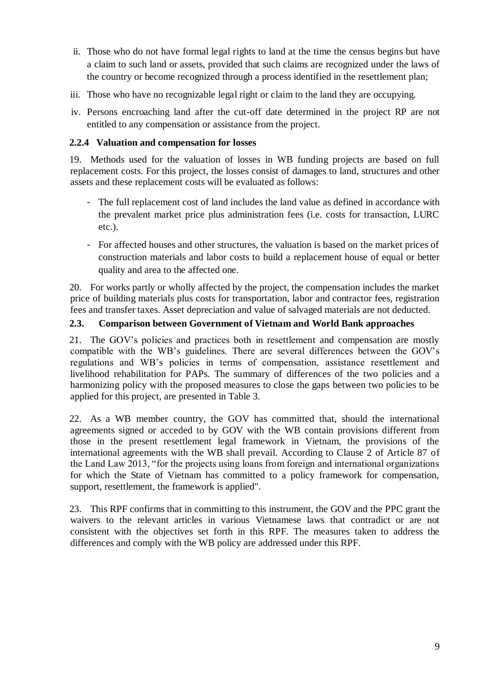- ii. Those who do not have formal legal rights to land at the time the census begins but have a claim to such land or assets, provided that such claims are recognized under the laws of the country or become recognized through a process identified in the resettlement plan;
- iii. Those who have no recognizable legal right or claim to the land they are occupying.
- iv. Persons encroaching land after the cut-off date determined in the project RP are not entitled to any compensation or assistance from the project.

#### **2.2.4 Valuation and compensation for losses**

19. Methods used for the valuation of losses in WB funding projects are based on full replacement costs. For this project, the losses consist of damages to land, structures and other assets and these replacement costs will be evaluated as follows:

- The full replacement cost of land includes the land value as defined in accordance with the prevalent market price plus administration fees (i.e. costs for transaction, LURC etc.).
- For affected houses and other structures, the valuation is based on the market prices of construction materials and labor costs to build a replacement house of equal or better quality and area to the affected one.

20. For works partly or wholly affected by the project, the compensation includes the market price of building materials plus costs for transportation, labor and contractor fees, registration fees and transfer taxes. Asset depreciation and value of salvaged materials are not deducted.

#### <span id="page-13-0"></span>**2.3. Comparison between Government of Vietnam and World Bank approaches**

21. The GOV's policies and practices both in resettlement and compensation are mostly compatible with the WB's guidelines. There are several differences between the GOV's regulations and WB's policies in terms of compensation, assistance resettlement and livelihood rehabilitation for PAPs. The summary of differences of the two policies and a harmonizing policy with the proposed measures to close the gaps between two policies to be applied for this project, are presented in Table 3.

22. As a WB member country, the GOV has committed that, should the international agreements signed or acceded to by GOV with the WB contain provisions different from those in the present resettlement legal framework in Vietnam, the provisions of the international agreements with the WB shall prevail. According to Clause 2 of Article 87 of the Land Law 2013, "for the projects using loans from foreign and international organizations for which the State of Vietnam has committed to a policy framework for compensation, support, resettlement, the framework is applied".

23. This RPF confirms that in committing to this instrument, the GOV and the PPC grant the waivers to the relevant articles in various Vietnamese laws that contradict or are not consistent with the objectives set forth in this RPF. The measures taken to address the differences and comply with the WB policy are addressed under this RPF.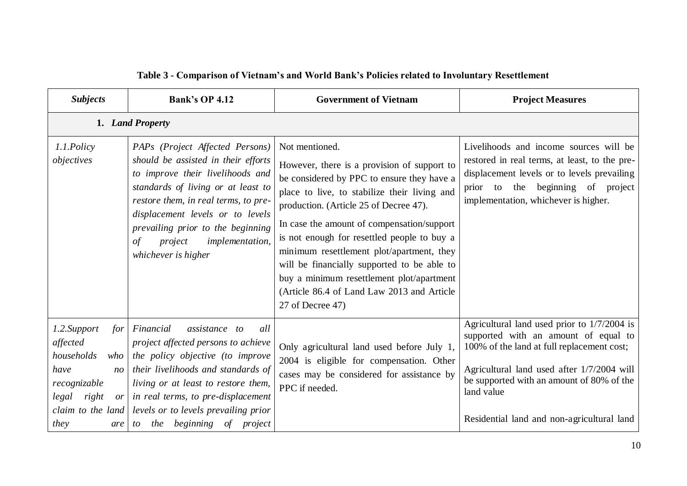| <b>Subjects</b>                                                                                                                                 | <b>Bank's OP 4.12</b>                                                                                                                                                                                                                                                                                                                | <b>Government of Vietnam</b>                                                                                                                                                                                                                                                                                                                                                                                                                                                                                  | <b>Project Measures</b>                                                                                                                                                                                                                                                                  |
|-------------------------------------------------------------------------------------------------------------------------------------------------|--------------------------------------------------------------------------------------------------------------------------------------------------------------------------------------------------------------------------------------------------------------------------------------------------------------------------------------|---------------------------------------------------------------------------------------------------------------------------------------------------------------------------------------------------------------------------------------------------------------------------------------------------------------------------------------------------------------------------------------------------------------------------------------------------------------------------------------------------------------|------------------------------------------------------------------------------------------------------------------------------------------------------------------------------------------------------------------------------------------------------------------------------------------|
|                                                                                                                                                 | 1. Land Property                                                                                                                                                                                                                                                                                                                     |                                                                                                                                                                                                                                                                                                                                                                                                                                                                                                               |                                                                                                                                                                                                                                                                                          |
| 1.1.Policy<br>objectives                                                                                                                        | PAPs (Project Affected Persons)<br>should be assisted in their efforts<br>to improve their livelihoods and<br>standards of living or at least to<br>restore them, in real terms, to pre-<br>displacement levels or to levels<br>prevailing prior to the beginning<br>project<br>implementation,<br>$\sigma f$<br>whichever is higher | Not mentioned.<br>However, there is a provision of support to<br>be considered by PPC to ensure they have a<br>place to live, to stabilize their living and<br>production. (Article 25 of Decree 47).<br>In case the amount of compensation/support<br>is not enough for resettled people to buy a<br>minimum resettlement plot/apartment, they<br>will be financially supported to be able to<br>buy a minimum resettlement plot/apartment<br>(Article 86.4 of Land Law 2013 and Article<br>27 of Decree 47) | Livelihoods and income sources will be<br>restored in real terms, at least, to the pre-<br>displacement levels or to levels prevailing<br>prior to the beginning of project<br>implementation, whichever is higher.                                                                      |
| 1.2.Support<br>for<br>affected<br>households<br>who<br>have<br>$n_{O}$<br>recognizable<br>legal right<br>or<br>claim to the land<br>they<br>are | Financial<br>assistance to<br>all<br>project affected persons to achieve<br>the policy objective (to improve<br>their livelihoods and standards of<br>living or at least to restore them,<br>in real terms, to pre-displacement<br>levels or to levels prevailing prior<br>to the beginning of project                               | Only agricultural land used before July 1,<br>2004 is eligible for compensation. Other<br>cases may be considered for assistance by<br>PPC if needed.                                                                                                                                                                                                                                                                                                                                                         | Agricultural land used prior to 1/7/2004 is<br>supported with an amount of equal to<br>100% of the land at full replacement cost;<br>Agricultural land used after 1/7/2004 will<br>be supported with an amount of 80% of the<br>land value<br>Residential land and non-agricultural land |

## **Table 3 - Comparison of Vietnam's and World Bank's Policies related to Involuntary Resettlement**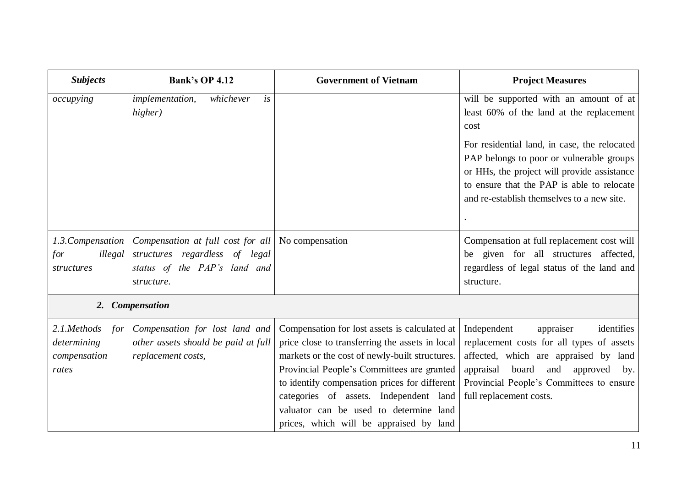| <b>Subjects</b>                                            | <b>Bank's OP 4.12</b>                                                                                                               | <b>Government of Vietnam</b>                                                                                                                                                                                                                                                                                                                                                     | <b>Project Measures</b>                                                                                                                                                                                                                          |
|------------------------------------------------------------|-------------------------------------------------------------------------------------------------------------------------------------|----------------------------------------------------------------------------------------------------------------------------------------------------------------------------------------------------------------------------------------------------------------------------------------------------------------------------------------------------------------------------------|--------------------------------------------------------------------------------------------------------------------------------------------------------------------------------------------------------------------------------------------------|
| occupying                                                  | implementation,<br>whichever<br>is<br>higher)                                                                                       |                                                                                                                                                                                                                                                                                                                                                                                  | will be supported with an amount of at<br>least 60% of the land at the replacement<br>cost                                                                                                                                                       |
|                                                            |                                                                                                                                     |                                                                                                                                                                                                                                                                                                                                                                                  | For residential land, in case, the relocated<br>PAP belongs to poor or vulnerable groups<br>or HHs, the project will provide assistance<br>to ensure that the PAP is able to relocate<br>and re-establish themselves to a new site.              |
| 1.3. Compensation<br>illegal<br>for<br>structures          | Compensation at full cost for all   No compensation<br>structures regardless of legal<br>status of the PAP's land and<br>structure. |                                                                                                                                                                                                                                                                                                                                                                                  | Compensation at full replacement cost will<br>be given for all structures affected,<br>regardless of legal status of the land and<br>structure.                                                                                                  |
| 2.                                                         | <b>Compensation</b>                                                                                                                 |                                                                                                                                                                                                                                                                                                                                                                                  |                                                                                                                                                                                                                                                  |
| 2.1.Methods<br>for<br>determining<br>compensation<br>rates | Compensation for lost land and<br>other assets should be paid at full<br>replacement costs,                                         | Compensation for lost assets is calculated at<br>price close to transferring the assets in local<br>markets or the cost of newly-built structures.<br>Provincial People's Committees are granted<br>to identify compensation prices for different<br>categories of assets. Independent land<br>valuator can be used to determine land<br>prices, which will be appraised by land | Independent<br>appraiser<br>identifies<br>replacement costs for all types of assets<br>affected, which are appraised by land<br>appraisal board<br>and<br>approved<br>by.<br>Provincial People's Committees to ensure<br>full replacement costs. |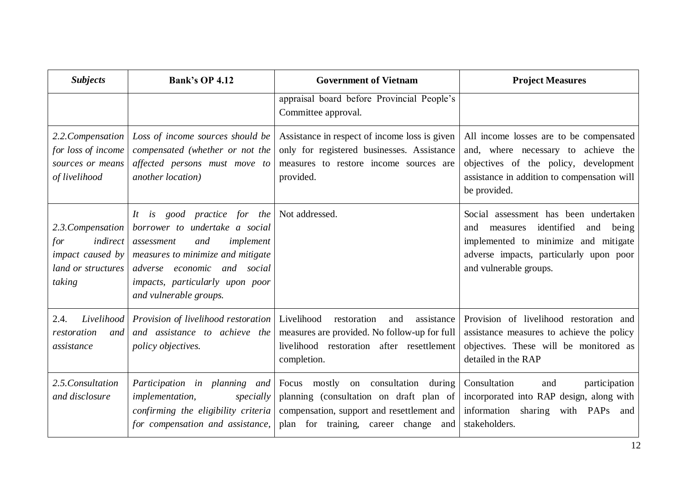| <b>Subjects</b>                                                                          | <b>Bank's OP 4.12</b>                                                                                                                                                                                                                           | <b>Government of Vietnam</b>                                                                                                                                            | <b>Project Measures</b>                                                                                                                                                                             |
|------------------------------------------------------------------------------------------|-------------------------------------------------------------------------------------------------------------------------------------------------------------------------------------------------------------------------------------------------|-------------------------------------------------------------------------------------------------------------------------------------------------------------------------|-----------------------------------------------------------------------------------------------------------------------------------------------------------------------------------------------------|
|                                                                                          |                                                                                                                                                                                                                                                 | appraisal board before Provincial People's<br>Committee approval.                                                                                                       |                                                                                                                                                                                                     |
| 2.2. Compensation<br>for loss of income<br>sources or means<br>of livelihood             | Loss of income sources should be<br>compensated (whether or not the<br>affected persons must move to<br><i>another location</i> )                                                                                                               | Assistance in respect of income loss is given<br>only for registered businesses. Assistance<br>measures to restore income sources are<br>provided.                      | All income losses are to be compensated<br>and, where necessary to achieve the<br>objectives of the policy, development<br>assistance in addition to compensation will<br>be provided.              |
| 2.3. Compensation<br>indirect<br>for<br>impact caused by<br>land or structures<br>taking | It is good practice for the Not addressed.<br>borrower to undertake a social<br>implement<br>and<br>assessment<br>measures to minimize and mitigate<br>adverse economic and social<br>impacts, particularly upon poor<br>and vulnerable groups. |                                                                                                                                                                         | Social assessment has been undertaken<br>identified<br>measures<br>and<br>being<br>and<br>implemented to minimize and mitigate<br>adverse impacts, particularly upon poor<br>and vulnerable groups. |
| Livelihood<br>2.4.<br>restoration<br>and<br>assistance                                   | Provision of livelihood restoration<br>and assistance to achieve the<br>policy objectives.                                                                                                                                                      | Livelihood<br>restoration<br>and<br>assistance<br>measures are provided. No follow-up for full<br>livelihood restoration after resettlement<br>completion.              | Provision of livelihood restoration and<br>assistance measures to achieve the policy<br>objectives. These will be monitored as<br>detailed in the RAP                                               |
| 2.5.Consultation<br>and disclosure                                                       | Participation in planning and<br>implementation,<br>specially<br>confirming the eligibility criteria<br>for compensation and assistance,                                                                                                        | Focus mostly on consultation<br>during<br>planning (consultation on draft plan of<br>compensation, support and resettlement and<br>plan for training, career change and | Consultation<br>participation<br>and<br>incorporated into RAP design, along with<br>information sharing with PAPs<br>and<br>stakeholders.                                                           |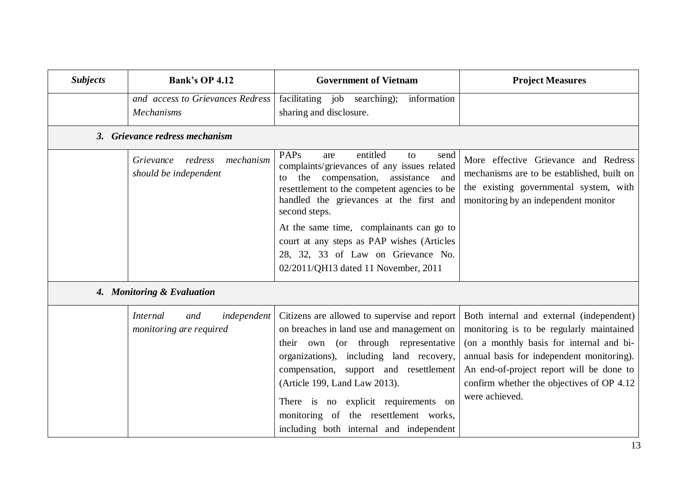| <b>Subjects</b> | <b>Bank's OP 4.12</b>                                            | <b>Government of Vietnam</b>                                                                                                                                                                                                                                                                                                                                                                                                | <b>Project Measures</b>                                                                                                                                                                                                                                                                  |
|-----------------|------------------------------------------------------------------|-----------------------------------------------------------------------------------------------------------------------------------------------------------------------------------------------------------------------------------------------------------------------------------------------------------------------------------------------------------------------------------------------------------------------------|------------------------------------------------------------------------------------------------------------------------------------------------------------------------------------------------------------------------------------------------------------------------------------------|
|                 | and access to Grievances Redress<br><b>Mechanisms</b>            | facilitating job searching);<br>information<br>sharing and disclosure.                                                                                                                                                                                                                                                                                                                                                      |                                                                                                                                                                                                                                                                                          |
| 3.              | Grievance redress mechanism                                      |                                                                                                                                                                                                                                                                                                                                                                                                                             |                                                                                                                                                                                                                                                                                          |
|                 | mechanism<br>Grievance redress<br>should be independent          | PAPs<br>entitled<br>send<br>are<br>to<br>complaints/grievances of any issues related<br>and<br>the<br>compensation,<br>assistance<br>to<br>resettlement to the competent agencies to be<br>handled the grievances at the first and<br>second steps.<br>At the same time, complainants can go to<br>court at any steps as PAP wishes (Articles<br>28, 32, 33 of Law on Grievance No.<br>02/2011/QH13 dated 11 November, 2011 | More effective Grievance and Redress<br>mechanisms are to be established, built on<br>the existing governmental system, with<br>monitoring by an independent monitor                                                                                                                     |
|                 | 4. Monitoring & Evaluation                                       |                                                                                                                                                                                                                                                                                                                                                                                                                             |                                                                                                                                                                                                                                                                                          |
|                 | <i>independent</i><br>Internal<br>and<br>monitoring are required | Citizens are allowed to supervise and report<br>on breaches in land use and management on<br>their own (or through representative<br>organizations), including land recovery,<br>compensation, support and resettlement<br>(Article 199, Land Law 2013).<br>There is no explicit requirements on<br>monitoring of the resettlement works,<br>including both internal and independent                                        | Both internal and external (independent)<br>monitoring is to be regularly maintained<br>(on a monthly basis for internal and bi-<br>annual basis for independent monitoring).<br>An end-of-project report will be done to<br>confirm whether the objectives of OP 4.12<br>were achieved. |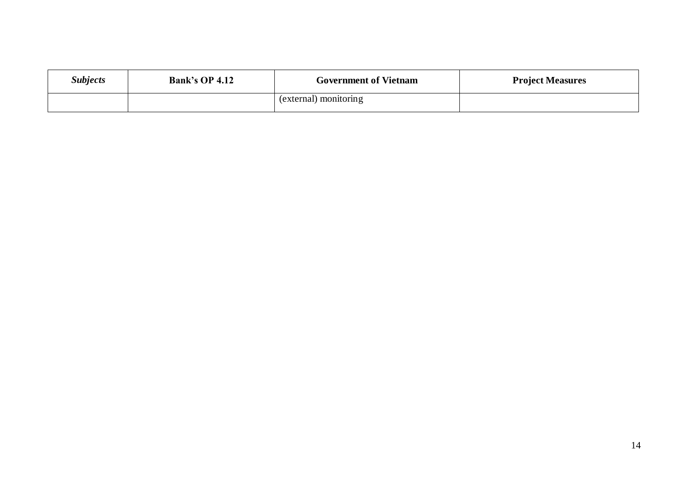| <b>Subjects</b> | <b>Bank's OP 4.12</b> | <b>Government of Vietnam</b> | <b>Project Measures</b> |
|-----------------|-----------------------|------------------------------|-------------------------|
|                 |                       | (external) monitoring        |                         |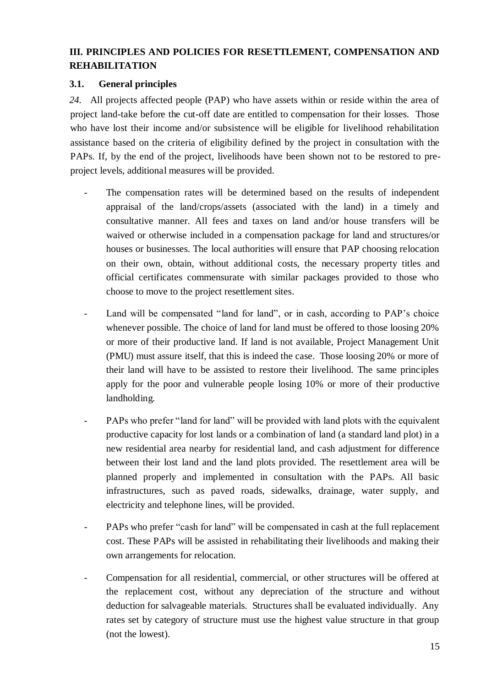## <span id="page-19-0"></span>**III. PRINCIPLES AND POLICIES FOR RESETTLEMENT, COMPENSATION AND REHABILITATION**

#### <span id="page-19-1"></span>**3.1. General principles**

*24.* All projects affected people (PAP) who have assets within or reside within the area of project land-take before the cut-off date are entitled to compensation for their losses. Those who have lost their income and/or subsistence will be eligible for livelihood rehabilitation assistance based on the criteria of eligibility defined by the project in consultation with the PAPs. If, by the end of the project, livelihoods have been shown not to be restored to preproject levels, additional measures will be provided.

- The compensation rates will be determined based on the results of independent appraisal of the land/crops/assets (associated with the land) in a timely and consultative manner. All fees and taxes on land and/or house transfers will be waived or otherwise included in a compensation package for land and structures/or houses or businesses. The local authorities will ensure that PAP choosing relocation on their own, obtain, without additional costs, the necessary property titles and official certificates commensurate with similar packages provided to those who choose to move to the project resettlement sites.
- Land will be compensated "land for land", or in cash, according to PAP's choice whenever possible. The choice of land for land must be offered to those loosing 20% or more of their productive land. If land is not available, Project Management Unit (PMU) must assure itself, that this is indeed the case. Those loosing 20% or more of their land will have to be assisted to restore their livelihood. The same principles apply for the poor and vulnerable people losing 10% or more of their productive landholding.
- PAPs who prefer "land for land" will be provided with land plots with the equivalent productive capacity for lost lands or a combination of land (a standard land plot) in a new residential area nearby for residential land, and cash adjustment for difference between their lost land and the land plots provided. The resettlement area will be planned properly and implemented in consultation with the PAPs. All basic infrastructures, such as paved roads, sidewalks, drainage, water supply, and electricity and telephone lines, will be provided.
- PAPs who prefer "cash for land" will be compensated in cash at the full replacement cost. These PAPs will be assisted in rehabilitating their livelihoods and making their own arrangements for relocation.
- Compensation for all residential, commercial, or other structures will be offered at the replacement cost, without any depreciation of the structure and without deduction for salvageable materials. Structures shall be evaluated individually. Any rates set by category of structure must use the highest value structure in that group (not the lowest).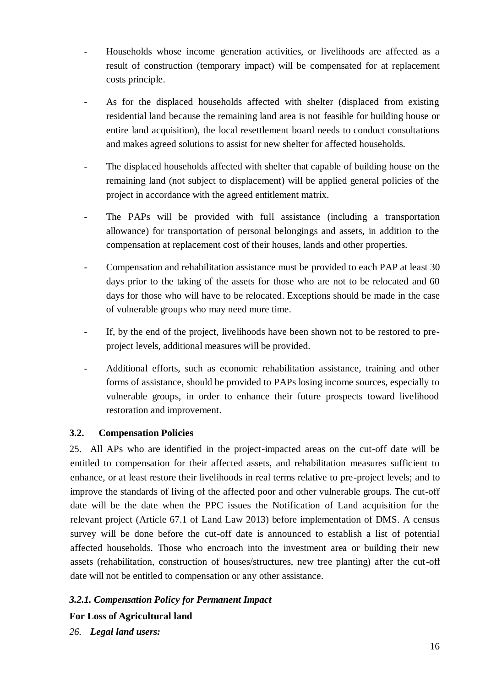- Households whose income generation activities, or livelihoods are affected as a result of construction (temporary impact) will be compensated for at replacement costs principle.
- As for the displaced households affected with shelter (displaced from existing residential land because the remaining land area is not feasible for building house or entire land acquisition), the local resettlement board needs to conduct consultations and makes agreed solutions to assist for new shelter for affected households.
- The displaced households affected with shelter that capable of building house on the remaining land (not subject to displacement) will be applied general policies of the project in accordance with the agreed entitlement matrix.
- The PAPs will be provided with full assistance (including a transportation allowance) for transportation of personal belongings and assets, in addition to the compensation at replacement cost of their houses, lands and other properties.
- Compensation and rehabilitation assistance must be provided to each PAP at least 30 days prior to the taking of the assets for those who are not to be relocated and 60 days for those who will have to be relocated. Exceptions should be made in the case of vulnerable groups who may need more time.
- If, by the end of the project, livelihoods have been shown not to be restored to preproject levels, additional measures will be provided.
- Additional efforts, such as economic rehabilitation assistance, training and other forms of assistance, should be provided to PAPs losing income sources, especially to vulnerable groups, in order to enhance their future prospects toward livelihood restoration and improvement.

## <span id="page-20-0"></span>**3.2. Compensation Policies**

25. All APs who are identified in the project-impacted areas on the cut-off date will be entitled to compensation for their affected assets, and rehabilitation measures sufficient to enhance, or at least restore their livelihoods in real terms relative to pre-project levels; and to improve the standards of living of the affected poor and other vulnerable groups. The cut-off date will be the date when the PPC issues the Notification of Land acquisition for the relevant project (Article 67.1 of Land Law 2013) before implementation of DMS. A census survey will be done before the cut-off date is announced to establish a list of potential affected households. Those who encroach into the investment area or building their new assets (rehabilitation, construction of houses/structures, new tree planting) after the cut-off date will not be entitled to compensation or any other assistance.

#### *3.2.1. Compensation Policy for Permanent Impact*

**For Loss of Agricultural land**

*26. Legal land users:*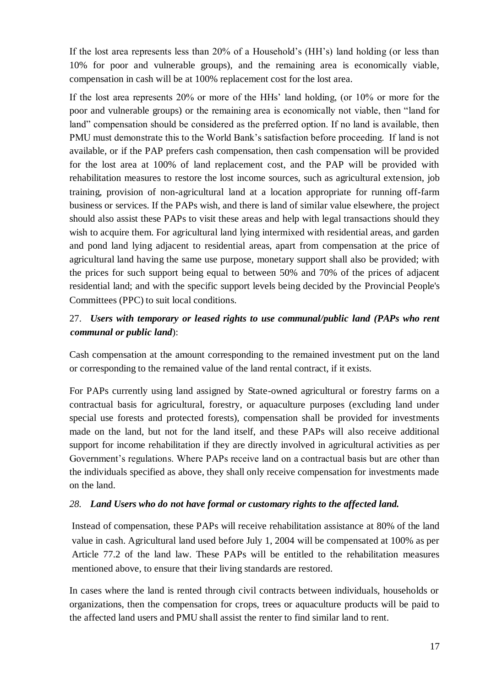If the lost area represents less than 20% of a Household's (HH's) land holding (or less than 10% for poor and vulnerable groups), and the remaining area is economically viable, compensation in cash will be at 100% replacement cost for the lost area.

If the lost area represents 20% or more of the HHs' land holding, (or 10% or more for the poor and vulnerable groups) or the remaining area is economically not viable, then "land for land" compensation should be considered as the preferred option. If no land is available, then PMU must demonstrate this to the World Bank's satisfaction before proceeding. If land is not available, or if the PAP prefers cash compensation, then cash compensation will be provided for the lost area at 100% of land replacement cost, and the PAP will be provided with rehabilitation measures to restore the lost income sources, such as agricultural extension, job training, provision of non-agricultural land at a location appropriate for running off-farm business or services. If the PAPs wish, and there is land of similar value elsewhere, the project should also assist these PAPs to visit these areas and help with legal transactions should they wish to acquire them. For agricultural land lying intermixed with residential areas, and garden and pond land lying adjacent to residential areas, apart from compensation at the price of agricultural land having the same use purpose, monetary support shall also be provided; with the prices for such support being equal to between 50% and 70% of the prices of adjacent residential land; and with the specific support levels being decided by the Provincial People's Committees (PPC) to suit local conditions.

## 27. *Users with temporary or leased rights to use communal/public land (PAPs who rent communal or public land*):

Cash compensation at the amount corresponding to the remained investment put on the land or corresponding to the remained value of the land rental contract, if it exists.

For PAPs currently using land assigned by State-owned agricultural or forestry farms on a contractual basis for agricultural, forestry, or aquaculture purposes (excluding land under special use forests and protected forests), compensation shall be provided for investments made on the land, but not for the land itself, and these PAPs will also receive additional support for income rehabilitation if they are directly involved in agricultural activities as per Government's regulations. Where PAPs receive land on a contractual basis but are other than the individuals specified as above, they shall only receive compensation for investments made on the land.

#### *28. Land Users who do not have formal or customary rights to the affected land.*

Instead of compensation, these PAPs will receive rehabilitation assistance at 80% of the land value in cash. Agricultural land used before July 1, 2004 will be compensated at 100% as per Article 77.2 of the land law. These PAPs will be entitled to the rehabilitation measures mentioned above, to ensure that their living standards are restored.

In cases where the land is rented through civil contracts between individuals, households or organizations, then the compensation for crops, trees or aquaculture products will be paid to the affected land users and PMU shall assist the renter to find similar land to rent.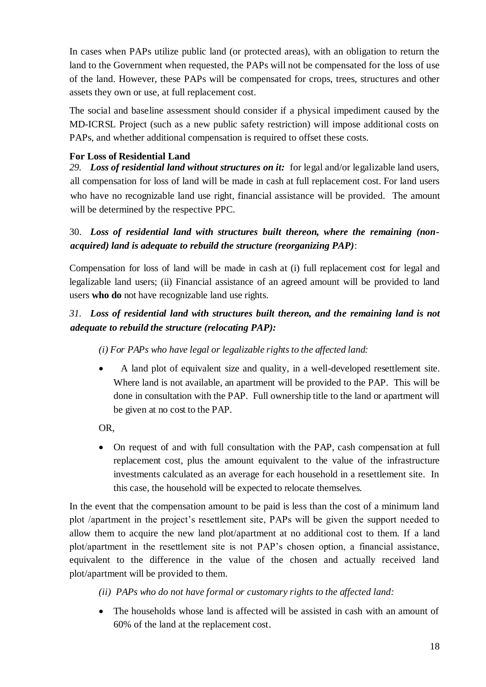In cases when PAPs utilize public land (or protected areas), with an obligation to return the land to the Government when requested, the PAPs will not be compensated for the loss of use of the land. However, these PAPs will be compensated for crops, trees, structures and other assets they own or use, at full replacement cost.

The social and baseline assessment should consider if a physical impediment caused by the MD-ICRSL Project (such as a new public safety restriction) will impose additional costs on PAPs, and whether additional compensation is required to offset these costs.

#### **For Loss of Residential Land**

*29. Loss of residential land without structures on it:* for legal and/or legalizable land users, all compensation for loss of land will be made in cash at full replacement cost. For land users who have no recognizable land use right, financial assistance will be provided. The amount will be determined by the respective PPC.

## 30. *Loss of residential land with structures built thereon, where the remaining (nonacquired) land is adequate to rebuild the structure (reorganizing PAP)*:

Compensation for loss of land will be made in cash at (i) full replacement cost for legal and legalizable land users; (ii) Financial assistance of an agreed amount will be provided to land users **who do** not have recognizable land use rights.

## *31. Loss of residential land with structures built thereon, and the remaining land is not adequate to rebuild the structure (relocating PAP):*

*(i) For PAPs who have legal or legalizable rights to the affected land:*

 A land plot of equivalent size and quality, in a well-developed resettlement site. Where land is not available, an apartment will be provided to the PAP. This will be done in consultation with the PAP. Full ownership title to the land or apartment will be given at no cost to the PAP.

OR,

 On request of and with full consultation with the PAP, cash compensation at full replacement cost, plus the amount equivalent to the value of the infrastructure investments calculated as an average for each household in a resettlement site. In this case, the household will be expected to relocate themselves.

In the event that the compensation amount to be paid is less than the cost of a minimum land plot /apartment in the project's resettlement site, PAPs will be given the support needed to allow them to acquire the new land plot/apartment at no additional cost to them. If a land plot/apartment in the resettlement site is not PAP's chosen option, a financial assistance, equivalent to the difference in the value of the chosen and actually received land plot/apartment will be provided to them.

*(ii) PAPs who do not have formal or customary rights to the affected land:*

 The households whose land is affected will be assisted in cash with an amount of 60% of the land at the replacement cost.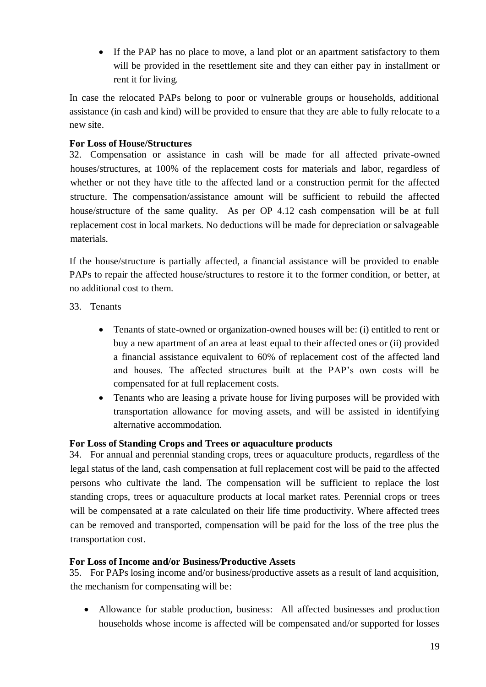If the PAP has no place to move, a land plot or an apartment satisfactory to them will be provided in the resettlement site and they can either pay in installment or rent it for living.

In case the relocated PAPs belong to poor or vulnerable groups or households, additional assistance (in cash and kind) will be provided to ensure that they are able to fully relocate to a new site.

#### **For Loss of House/Structures**

32. Compensation or assistance in cash will be made for all affected private-owned houses/structures, at 100% of the replacement costs for materials and labor, regardless of whether or not they have title to the affected land or a construction permit for the affected structure. The compensation/assistance amount will be sufficient to rebuild the affected house/structure of the same quality. As per OP 4.12 cash compensation will be at full replacement cost in local markets. No deductions will be made for depreciation or salvageable materials.

If the house/structure is partially affected, a financial assistance will be provided to enable PAPs to repair the affected house/structures to restore it to the former condition, or better, at no additional cost to them.

#### 33. Tenants

- Tenants of state-owned or organization-owned houses will be: (i) entitled to rent or buy a new apartment of an area at least equal to their affected ones or (ii) provided a financial assistance equivalent to 60% of replacement cost of the affected land and houses. The affected structures built at the PAP's own costs will be compensated for at full replacement costs.
- Tenants who are leasing a private house for living purposes will be provided with transportation allowance for moving assets, and will be assisted in identifying alternative accommodation.

#### **For Loss of Standing Crops and Trees or aquaculture products**

34. For annual and perennial standing crops, trees or aquaculture products, regardless of the legal status of the land, cash compensation at full replacement cost will be paid to the affected persons who cultivate the land. The compensation will be sufficient to replace the lost standing crops, trees or aquaculture products at local market rates. Perennial crops or trees will be compensated at a rate calculated on their life time productivity. Where affected trees can be removed and transported, compensation will be paid for the loss of the tree plus the transportation cost.

#### **For Loss of Income and/or Business/Productive Assets**

35. For PAPs losing income and/or business/productive assets as a result of land acquisition, the mechanism for compensating will be:

 Allowance for stable production, business: All affected businesses and production households whose income is affected will be compensated and/or supported for losses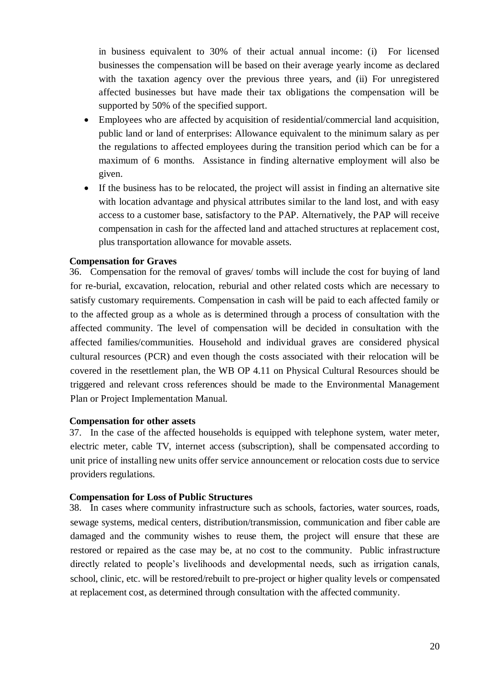in business equivalent to 30% of their actual annual income: (i) For licensed businesses the compensation will be based on their average yearly income as declared with the taxation agency over the previous three years, and (ii) For unregistered affected businesses but have made their tax obligations the compensation will be supported by 50% of the specified support.

- Employees who are affected by acquisition of residential/commercial land acquisition, public land or land of enterprises: Allowance equivalent to the minimum salary as per the regulations to affected employees during the transition period which can be for a maximum of 6 months. Assistance in finding alternative employment will also be given.
- If the business has to be relocated, the project will assist in finding an alternative site with location advantage and physical attributes similar to the land lost, and with easy access to a customer base, satisfactory to the PAP. Alternatively, the PAP will receive compensation in cash for the affected land and attached structures at replacement cost, plus transportation allowance for movable assets.

#### **Compensation for Graves**

36. Compensation for the removal of graves/ tombs will include the cost for buying of land for re-burial, excavation, relocation, reburial and other related costs which are necessary to satisfy customary requirements. Compensation in cash will be paid to each affected family or to the affected group as a whole as is determined through a process of consultation with the affected community. The level of compensation will be decided in consultation with the affected families/communities. Household and individual graves are considered physical cultural resources (PCR) and even though the costs associated with their relocation will be covered in the resettlement plan, the WB OP 4.11 on Physical Cultural Resources should be triggered and relevant cross references should be made to the Environmental Management Plan or Project Implementation Manual.

#### **Compensation for other assets**

37. In the case of the affected households is equipped with telephone system, water meter, electric meter, cable TV, internet access (subscription), shall be compensated according to unit price of installing new units offer service announcement or relocation costs due to service providers regulations.

#### **Compensation for Loss of Public Structures**

38. In cases where community infrastructure such as schools, factories, water sources, roads, sewage systems, medical centers, distribution/transmission, communication and fiber cable are damaged and the community wishes to reuse them, the project will ensure that these are restored or repaired as the case may be, at no cost to the community. Public infrastructure directly related to people's livelihoods and developmental needs, such as irrigation canals, school, clinic, etc. will be restored/rebuilt to pre-project or higher quality levels or compensated at replacement cost, as determined through consultation with the affected community.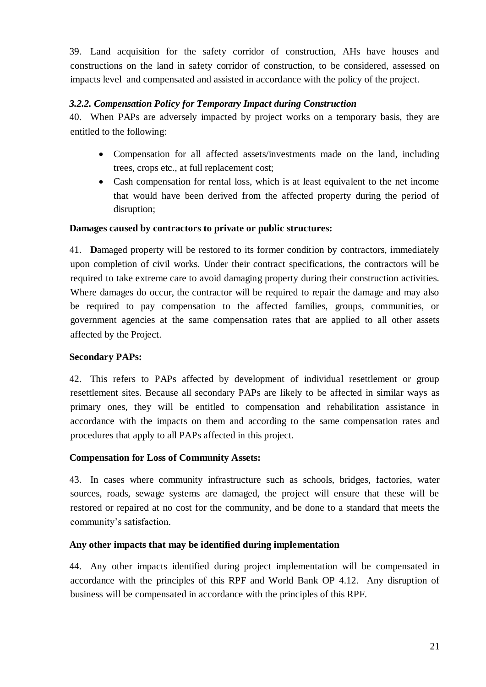39. Land acquisition for the safety corridor of construction, AHs have houses and constructions on the land in safety corridor of construction, to be considered, assessed on impacts level and compensated and assisted in accordance with the policy of the project.

#### *3.2.2. Compensation Policy for Temporary Impact during Construction*

40. When PAPs are adversely impacted by project works on a temporary basis, they are entitled to the following:

- Compensation for all affected assets/investments made on the land, including trees, crops etc., at full replacement cost;
- Cash compensation for rental loss, which is at least equivalent to the net income that would have been derived from the affected property during the period of disruption;

#### **Damages caused by contractors to private or public structures:**

41. **D**amaged property will be restored to its former condition by contractors, immediately upon completion of civil works. Under their contract specifications, the contractors will be required to take extreme care to avoid damaging property during their construction activities. Where damages do occur, the contractor will be required to repair the damage and may also be required to pay compensation to the affected families, groups, communities, or government agencies at the same compensation rates that are applied to all other assets affected by the Project.

#### **Secondary PAPs:**

42. This refers to PAPs affected by development of individual resettlement or group resettlement sites. Because all secondary PAPs are likely to be affected in similar ways as primary ones, they will be entitled to compensation and rehabilitation assistance in accordance with the impacts on them and according to the same compensation rates and procedures that apply to all PAPs affected in this project.

#### **Compensation for Loss of Community Assets:**

43. In cases where community infrastructure such as schools, bridges, factories, water sources, roads, sewage systems are damaged, the project will ensure that these will be restored or repaired at no cost for the community, and be done to a standard that meets the community's satisfaction.

#### **Any other impacts that may be identified during implementation**

44. Any other impacts identified during project implementation will be compensated in accordance with the principles of this RPF and World Bank OP 4.12. Any disruption of business will be compensated in accordance with the principles of this RPF.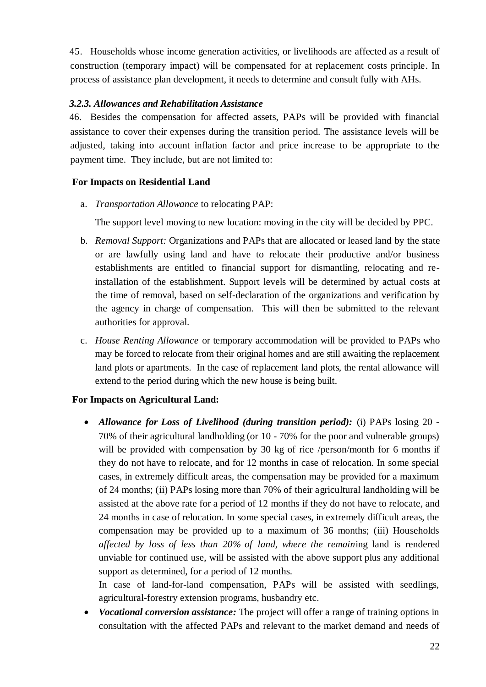45. Households whose income generation activities, or livelihoods are affected as a result of construction (temporary impact) will be compensated for at replacement costs principle. In process of assistance plan development, it needs to determine and consult fully with AHs.

#### *3.2.3. Allowances and Rehabilitation Assistance*

46. Besides the compensation for affected assets, PAPs will be provided with financial assistance to cover their expenses during the transition period. The assistance levels will be adjusted, taking into account inflation factor and price increase to be appropriate to the payment time. They include, but are not limited to:

#### **For Impacts on Residential Land**

a. *Transportation Allowance* to relocating PAP:

The support level moving to new location: moving in the city will be decided by PPC.

- b. *Removal Support:* Organizations and PAPs that are allocated or leased land by the state or are lawfully using land and have to relocate their productive and/or business establishments are entitled to financial support for dismantling, relocating and reinstallation of the establishment. Support levels will be determined by actual costs at the time of removal, based on self-declaration of the organizations and verification by the agency in charge of compensation. This will then be submitted to the relevant authorities for approval.
- c. *House Renting Allowance* or temporary accommodation will be provided to PAPs who may be forced to relocate from their original homes and are still awaiting the replacement land plots or apartments. In the case of replacement land plots, the rental allowance will extend to the period during which the new house is being built.

#### **For Impacts on Agricultural Land:**

 *Allowance for Loss of Livelihood (during transition period):* (i) PAPs losing 20 - 70% of their agricultural landholding (or 10 - 70% for the poor and vulnerable groups) will be provided with compensation by 30 kg of rice /person/month for 6 months if they do not have to relocate, and for 12 months in case of relocation. In some special cases, in extremely difficult areas, the compensation may be provided for a maximum of 24 months; (ii) PAPs losing more than 70% of their agricultural landholding will be assisted at the above rate for a period of 12 months if they do not have to relocate, and 24 months in case of relocation. In some special cases, in extremely difficult areas, the compensation may be provided up to a maximum of 36 months; (iii) Households *affected by loss of less than 20% of land, where the remain*ing land is rendered unviable for continued use, will be assisted with the above support plus any additional support as determined, for a period of 12 months.

In case of land-for-land compensation, PAPs will be assisted with seedlings, agricultural-forestry extension programs, husbandry etc.

 *Vocational conversion assistance:* The project will offer a range of training options in consultation with the affected PAPs and relevant to the market demand and needs of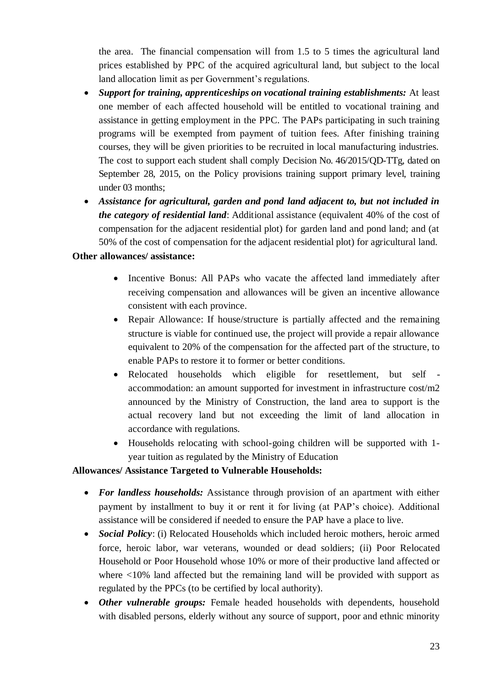the area. The financial compensation will from 1.5 to 5 times the agricultural land prices established by PPC of the acquired agricultural land, but subject to the local land allocation limit as per Government's regulations.

- *Support for training, apprenticeships on vocational training establishments:* At least one member of each affected household will be entitled to vocational training and assistance in getting employment in the PPC. The PAPs participating in such training programs will be exempted from payment of tuition fees. After finishing training courses, they will be given priorities to be recruited in local manufacturing industries. The cost to support each student shall comply Decision No. 46/2015/QD-TTg, dated on September 28, 2015, on the Policy provisions training support primary level, training under 03 months;
- *Assistance for agricultural, garden and pond land adjacent to, but not included in the category of residential land*: Additional assistance (equivalent 40% of the cost of compensation for the adjacent residential plot) for garden land and pond land; and (at 50% of the cost of compensation for the adjacent residential plot) for agricultural land.

#### **Other allowances/ assistance:**

- Incentive Bonus: All PAPs who vacate the affected land immediately after receiving compensation and allowances will be given an incentive allowance consistent with each province.
- Repair Allowance: If house/structure is partially affected and the remaining structure is viable for continued use, the project will provide a repair allowance equivalent to 20% of the compensation for the affected part of the structure, to enable PAPs to restore it to former or better conditions.
- Relocated households which eligible for resettlement, but self accommodation: an amount supported for investment in infrastructure cost/m2 announced by the Ministry of Construction, the land area to support is the actual recovery land but not exceeding the limit of land allocation in accordance with regulations.
- Households relocating with school-going children will be supported with 1 year tuition as regulated by the Ministry of Education

#### **Allowances/ Assistance Targeted to Vulnerable Households:**

- *For landless households:* Assistance through provision of an apartment with either payment by installment to buy it or rent it for living (at PAP's choice). Additional assistance will be considered if needed to ensure the PAP have a place to live.
- *Social Policy*: (i) Relocated Households which included heroic mothers, heroic armed force, heroic labor, war veterans, wounded or dead soldiers; (ii) Poor Relocated Household or Poor Household whose 10% or more of their productive land affected or where <10% land affected but the remaining land will be provided with support as regulated by the PPCs (to be certified by local authority).
- *Other vulnerable groups:* Female headed households with dependents, household with disabled persons, elderly without any source of support, poor and ethnic minority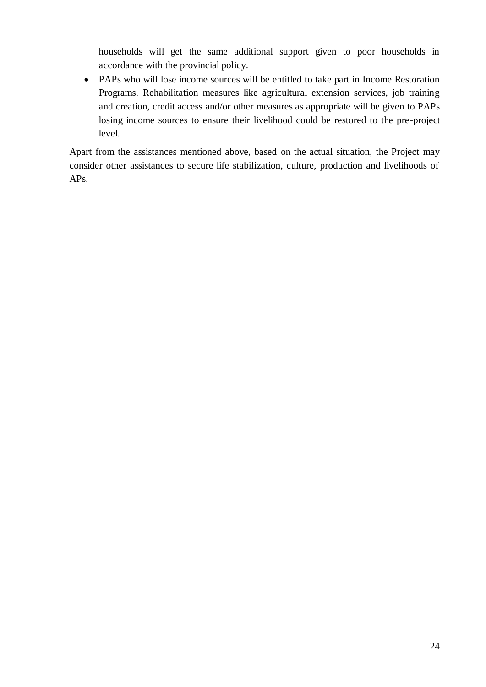households will get the same additional support given to poor households in accordance with the provincial policy.

 PAPs who will lose income sources will be entitled to take part in Income Restoration Programs. Rehabilitation measures like agricultural extension services, job training and creation, credit access and/or other measures as appropriate will be given to PAPs losing income sources to ensure their livelihood could be restored to the pre-project level.

Apart from the assistances mentioned above, based on the actual situation, the Project may consider other assistances to secure life stabilization, culture, production and livelihoods of APs.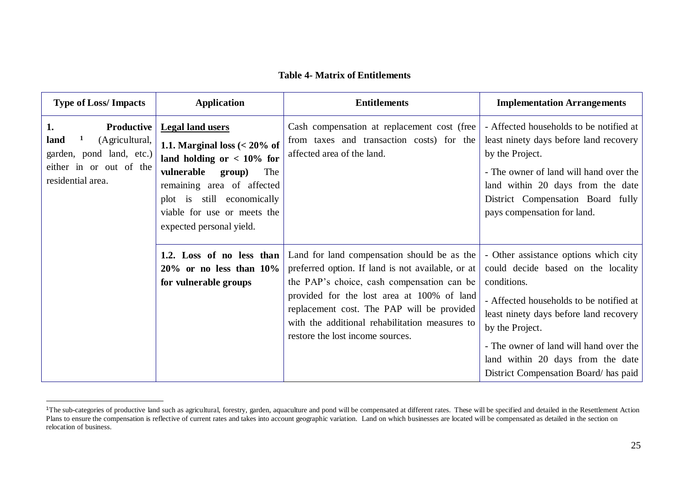#### **Table 4- Matrix of Entitlements**

| <b>Type of Loss/Impacts</b>                                                                                                 | <b>Application</b>                                                                                                                                                                                                                             | <b>Entitlements</b>                                                                                                                                                                                                                                                                                                              | <b>Implementation Arrangements</b>                                                                                                                                                                                                                                                                                         |
|-----------------------------------------------------------------------------------------------------------------------------|------------------------------------------------------------------------------------------------------------------------------------------------------------------------------------------------------------------------------------------------|----------------------------------------------------------------------------------------------------------------------------------------------------------------------------------------------------------------------------------------------------------------------------------------------------------------------------------|----------------------------------------------------------------------------------------------------------------------------------------------------------------------------------------------------------------------------------------------------------------------------------------------------------------------------|
| Productive<br>1.<br>(Agricultural,<br>1<br>land<br>garden, pond land, etc.)<br>either in or out of the<br>residential area. | <b>Legal land users</b><br>1.1. Marginal loss $(20\% of$<br>land holding or $< 10\%$ for<br>vulnerable<br>group)<br>The<br>remaining area of affected<br>plot is still economically<br>viable for use or meets the<br>expected personal yield. | Cash compensation at replacement cost (free<br>from taxes and transaction costs) for the<br>affected area of the land.                                                                                                                                                                                                           | - Affected households to be notified at<br>least ninety days before land recovery<br>by the Project.<br>- The owner of land will hand over the<br>land within 20 days from the date<br>District Compensation Board fully<br>pays compensation for land.                                                                    |
|                                                                                                                             | 1.2. Loss of no less than<br>$20\%$ or no less than $10\%$<br>for vulnerable groups                                                                                                                                                            | Land for land compensation should be as the<br>preferred option. If land is not available, or at<br>the PAP's choice, cash compensation can be<br>provided for the lost area at 100% of land<br>replacement cost. The PAP will be provided<br>with the additional rehabilitation measures to<br>restore the lost income sources. | - Other assistance options which city<br>could decide based on the locality<br>conditions.<br>- Affected households to be notified at<br>least ninety days before land recovery<br>by the Project.<br>- The owner of land will hand over the<br>land within 20 days from the date<br>District Compensation Board/ has paid |

<sup>&</sup>lt;sup>1</sup>The sub-categories of productive land such as agricultural, forestry, garden, aquaculture and pond will be compensated at different rates. These will be specified and detailed in the Resettlement Action Plans to ensure the compensation is reflective of current rates and takes into account geographic variation. Land on which businesses are located will be compensated as detailed in the section on relocation of business.

 $\overline{a}$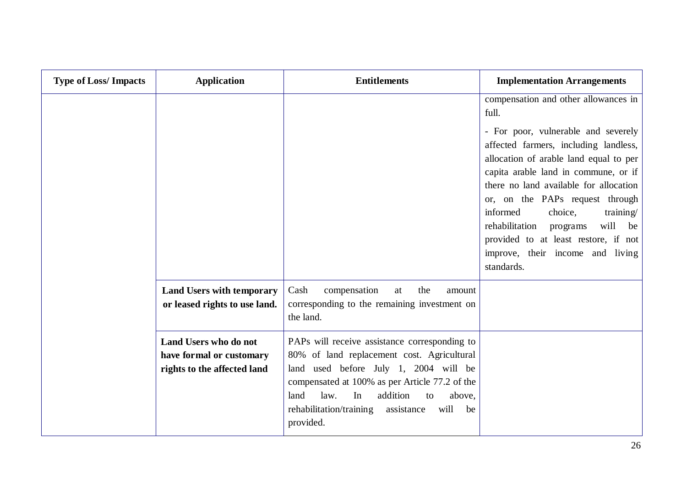| <b>Type of Loss/Impacts</b> | <b>Application</b>                                                               | <b>Entitlements</b>                                                                                                                                                                                                                                                                                       | <b>Implementation Arrangements</b>                                                                                                                                                                                                                                                |
|-----------------------------|----------------------------------------------------------------------------------|-----------------------------------------------------------------------------------------------------------------------------------------------------------------------------------------------------------------------------------------------------------------------------------------------------------|-----------------------------------------------------------------------------------------------------------------------------------------------------------------------------------------------------------------------------------------------------------------------------------|
|                             |                                                                                  |                                                                                                                                                                                                                                                                                                           | compensation and other allowances in<br>full.<br>- For poor, vulnerable and severely                                                                                                                                                                                              |
|                             |                                                                                  |                                                                                                                                                                                                                                                                                                           | affected farmers, including landless,<br>allocation of arable land equal to per<br>capita arable land in commune, or if<br>there no land available for allocation<br>or, on the PAPs request through<br>informed<br>choice,<br>training/<br>rehabilitation<br>will be<br>programs |
|                             |                                                                                  |                                                                                                                                                                                                                                                                                                           | provided to at least restore, if not<br>improve, their income and living<br>standards.                                                                                                                                                                                            |
|                             | <b>Land Users with temporary</b><br>or leased rights to use land.                | compensation<br>the<br>Cash<br>at<br>amount<br>corresponding to the remaining investment on<br>the land.                                                                                                                                                                                                  |                                                                                                                                                                                                                                                                                   |
|                             | Land Users who do not<br>have formal or customary<br>rights to the affected land | PAPs will receive assistance corresponding to<br>80% of land replacement cost. Agricultural<br>land used before July 1, 2004 will be<br>compensated at 100% as per Article 77.2 of the<br>addition<br>law.<br>In<br>above,<br>land<br>to<br>will<br>rehabilitation/training assistance<br>be<br>provided. |                                                                                                                                                                                                                                                                                   |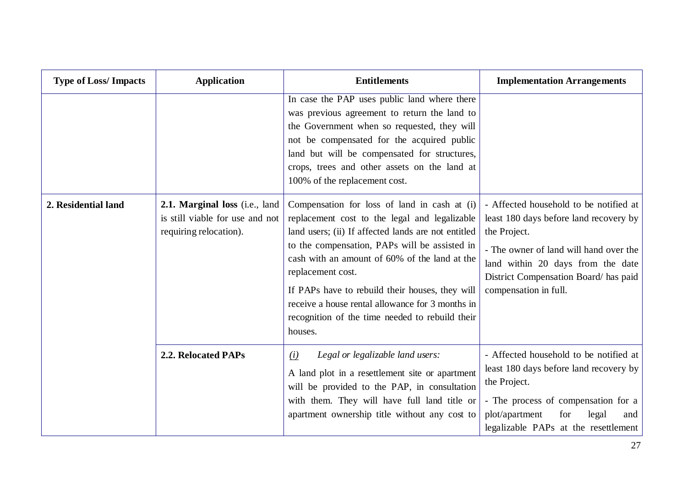| <b>Type of Loss/Impacts</b> | <b>Application</b>                                                                          | <b>Entitlements</b>                                                                                                                                                                                                                                                                                                                                                                                                                              | <b>Implementation Arrangements</b>                                                                                                                                                                                                                |
|-----------------------------|---------------------------------------------------------------------------------------------|--------------------------------------------------------------------------------------------------------------------------------------------------------------------------------------------------------------------------------------------------------------------------------------------------------------------------------------------------------------------------------------------------------------------------------------------------|---------------------------------------------------------------------------------------------------------------------------------------------------------------------------------------------------------------------------------------------------|
|                             |                                                                                             | In case the PAP uses public land where there<br>was previous agreement to return the land to<br>the Government when so requested, they will<br>not be compensated for the acquired public<br>land but will be compensated for structures,<br>crops, trees and other assets on the land at<br>100% of the replacement cost.                                                                                                                       |                                                                                                                                                                                                                                                   |
| 2. Residential land         | 2.1. Marginal loss (i.e., land<br>is still viable for use and not<br>requiring relocation). | Compensation for loss of land in cash at (i)<br>replacement cost to the legal and legalizable<br>land users; (ii) If affected lands are not entitled<br>to the compensation, PAPs will be assisted in<br>cash with an amount of 60% of the land at the<br>replacement cost.<br>If PAPs have to rebuild their houses, they will<br>receive a house rental allowance for 3 months in<br>recognition of the time needed to rebuild their<br>houses. | - Affected household to be notified at<br>least 180 days before land recovery by<br>the Project.<br>- The owner of land will hand over the<br>land within 20 days from the date<br>District Compensation Board/ has paid<br>compensation in full. |
|                             | <b>2.2. Relocated PAPs</b>                                                                  | Legal or legalizable land users:<br>(i)<br>A land plot in a resettlement site or apartment<br>will be provided to the PAP, in consultation<br>with them. They will have full land title or<br>apartment ownership title without any cost to                                                                                                                                                                                                      | - Affected household to be notified at<br>least 180 days before land recovery by<br>the Project.<br>- The process of compensation for a<br>plot/apartment<br>for<br>legal<br>and<br>legalizable PAPs at the resettlement                          |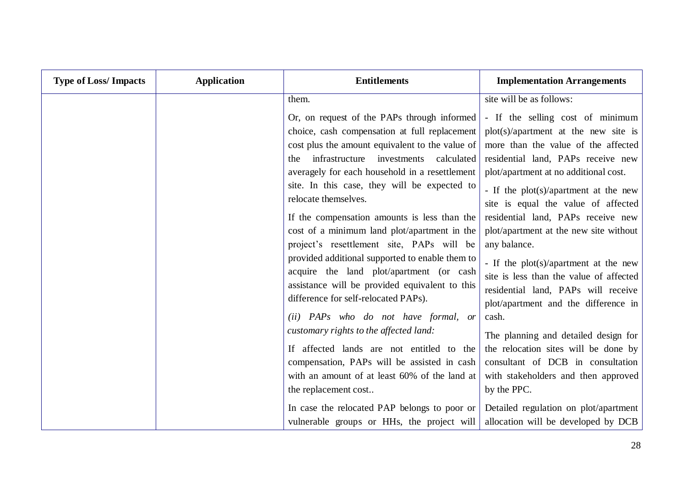| <b>Type of Loss/ Impacts</b> | <b>Application</b> | <b>Entitlements</b>                                                                                                                                                                                                                                                                                                                                                                                                             | <b>Implementation Arrangements</b>                                                                                                                                                                                                                                                                                                                                 |
|------------------------------|--------------------|---------------------------------------------------------------------------------------------------------------------------------------------------------------------------------------------------------------------------------------------------------------------------------------------------------------------------------------------------------------------------------------------------------------------------------|--------------------------------------------------------------------------------------------------------------------------------------------------------------------------------------------------------------------------------------------------------------------------------------------------------------------------------------------------------------------|
|                              |                    | them.                                                                                                                                                                                                                                                                                                                                                                                                                           | site will be as follows:                                                                                                                                                                                                                                                                                                                                           |
|                              |                    | Or, on request of the PAPs through informed<br>choice, cash compensation at full replacement<br>cost plus the amount equivalent to the value of<br>infrastructure<br>investments<br>calculated<br>the<br>averagely for each household in a resettlement<br>site. In this case, they will be expected to<br>relocate themselves.<br>If the compensation amounts is less than the<br>cost of a minimum land plot/apartment in the | - If the selling cost of minimum<br>$plot(s)/apartment$ at the new site is<br>more than the value of the affected<br>residential land, PAPs receive new<br>plot/apartment at no additional cost.<br>- If the $plot(s)/apartment$ at the new<br>site is equal the value of affected<br>residential land, PAPs receive new<br>plot/apartment at the new site without |
|                              |                    | project's resettlement site, PAPs will be<br>provided additional supported to enable them to<br>acquire the land plot/apartment (or cash<br>assistance will be provided equivalent to this<br>difference for self-relocated PAPs).<br>(ii) PAPs who do not have formal,<br><i>or</i><br>customary rights to the affected land:                                                                                                  | any balance.<br>- If the $plot(s)/apartment$ at the new<br>site is less than the value of affected<br>residential land, PAPs will receive<br>plot/apartment and the difference in<br>cash.                                                                                                                                                                         |
|                              |                    | If affected lands are not entitled to the<br>compensation, PAPs will be assisted in cash<br>with an amount of at least 60% of the land at<br>the replacement cost<br>In case the relocated PAP belongs to poor or<br>vulnerable groups or HHs, the project will                                                                                                                                                                 | The planning and detailed design for<br>the relocation sites will be done by<br>consultant of DCB in consultation<br>with stakeholders and then approved<br>by the PPC.<br>Detailed regulation on plot/apartment<br>allocation will be developed by DCB                                                                                                            |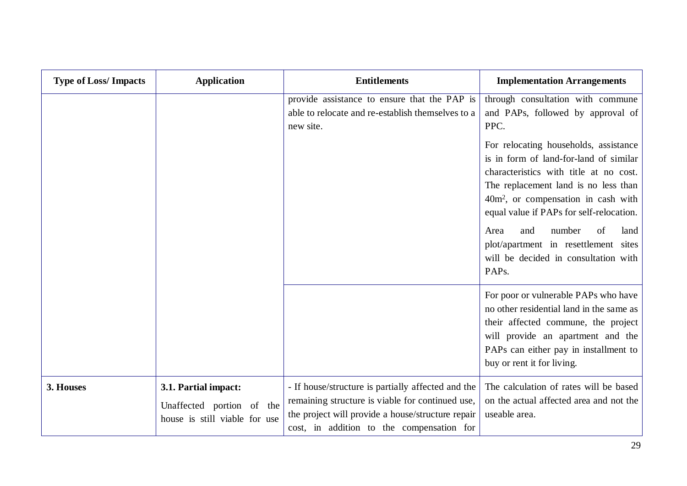| <b>Type of Loss/Impacts</b> | <b>Application</b>                                                                 | <b>Entitlements</b>                                                                                                                                                                                      | <b>Implementation Arrangements</b>                                                                                                                                                                                                                                                                                                                                                                            |
|-----------------------------|------------------------------------------------------------------------------------|----------------------------------------------------------------------------------------------------------------------------------------------------------------------------------------------------------|---------------------------------------------------------------------------------------------------------------------------------------------------------------------------------------------------------------------------------------------------------------------------------------------------------------------------------------------------------------------------------------------------------------|
|                             |                                                                                    | provide assistance to ensure that the PAP is<br>able to relocate and re-establish themselves to a<br>new site.                                                                                           | through consultation with commune<br>and PAPs, followed by approval of<br>PPC.                                                                                                                                                                                                                                                                                                                                |
|                             |                                                                                    |                                                                                                                                                                                                          | For relocating households, assistance<br>is in form of land-for-land of similar<br>characteristics with title at no cost.<br>The replacement land is no less than<br>40m <sup>2</sup> , or compensation in cash with<br>equal value if PAPs for self-relocation.<br>number<br>of<br>land<br>and<br>Area<br>plot/apartment in resettlement sites<br>will be decided in consultation with<br>PAP <sub>s</sub> . |
|                             |                                                                                    |                                                                                                                                                                                                          | For poor or vulnerable PAPs who have<br>no other residential land in the same as<br>their affected commune, the project<br>will provide an apartment and the<br>PAPs can either pay in installment to<br>buy or rent it for living.                                                                                                                                                                           |
| 3. Houses                   | 3.1. Partial impact:<br>Unaffected portion of the<br>house is still viable for use | - If house/structure is partially affected and the<br>remaining structure is viable for continued use,<br>the project will provide a house/structure repair<br>cost, in addition to the compensation for | The calculation of rates will be based<br>on the actual affected area and not the<br>useable area.                                                                                                                                                                                                                                                                                                            |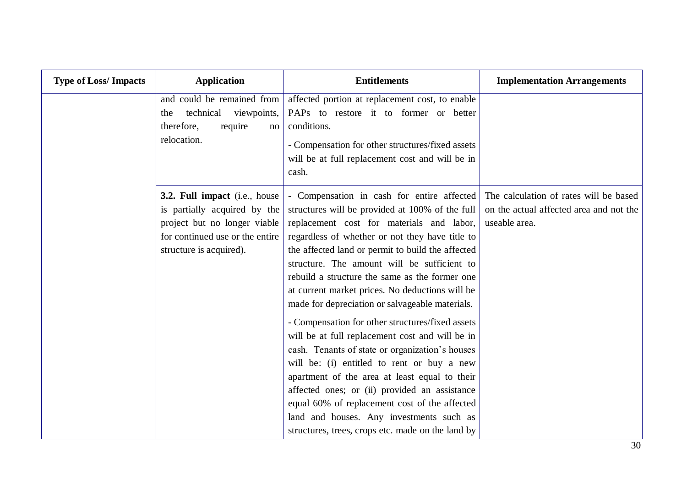| <b>Type of Loss/ Impacts</b> | <b>Application</b>                                                                                                                                          | <b>Entitlements</b>                                                                                                                                                                                                                                                                                                                                                                                                                                                                                                                                                                                                                                                                                                                                                                                                                                                                                                   | <b>Implementation Arrangements</b>                                                                 |
|------------------------------|-------------------------------------------------------------------------------------------------------------------------------------------------------------|-----------------------------------------------------------------------------------------------------------------------------------------------------------------------------------------------------------------------------------------------------------------------------------------------------------------------------------------------------------------------------------------------------------------------------------------------------------------------------------------------------------------------------------------------------------------------------------------------------------------------------------------------------------------------------------------------------------------------------------------------------------------------------------------------------------------------------------------------------------------------------------------------------------------------|----------------------------------------------------------------------------------------------------|
|                              | and could be remained from<br>technical<br>viewpoints,<br>the<br>therefore,<br>require<br>no<br>relocation.                                                 | affected portion at replacement cost, to enable<br>PAPs to restore it to former or better<br>conditions.<br>- Compensation for other structures/fixed assets<br>will be at full replacement cost and will be in<br>cash.                                                                                                                                                                                                                                                                                                                                                                                                                                                                                                                                                                                                                                                                                              |                                                                                                    |
|                              | 3.2. Full impact (i.e., house<br>is partially acquired by the<br>project but no longer viable<br>for continued use or the entire<br>structure is acquired). | - Compensation in cash for entire affected<br>structures will be provided at 100% of the full<br>replacement cost for materials and labor,<br>regardless of whether or not they have title to<br>the affected land or permit to build the affected<br>structure. The amount will be sufficient to<br>rebuild a structure the same as the former one<br>at current market prices. No deductions will be<br>made for depreciation or salvageable materials.<br>- Compensation for other structures/fixed assets<br>will be at full replacement cost and will be in<br>cash. Tenants of state or organization's houses<br>will be: (i) entitled to rent or buy a new<br>apartment of the area at least equal to their<br>affected ones; or (ii) provided an assistance<br>equal 60% of replacement cost of the affected<br>land and houses. Any investments such as<br>structures, trees, crops etc. made on the land by | The calculation of rates will be based<br>on the actual affected area and not the<br>useable area. |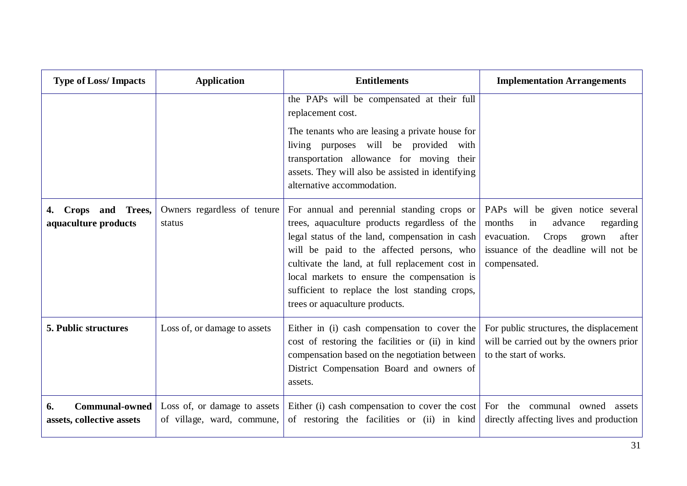| <b>Type of Loss/ Impacts</b>                   | <b>Application</b>                                                               | <b>Entitlements</b>                                                                                                                                                                                                                                                                                                                                                              | <b>Implementation Arrangements</b>                                                                                                                                          |
|------------------------------------------------|----------------------------------------------------------------------------------|----------------------------------------------------------------------------------------------------------------------------------------------------------------------------------------------------------------------------------------------------------------------------------------------------------------------------------------------------------------------------------|-----------------------------------------------------------------------------------------------------------------------------------------------------------------------------|
|                                                |                                                                                  | the PAPs will be compensated at their full<br>replacement cost.<br>The tenants who are leasing a private house for<br>living purposes will be provided<br>with<br>transportation allowance for moving their<br>assets. They will also be assisted in identifying<br>alternative accommodation.                                                                                   |                                                                                                                                                                             |
| Crops and Trees,<br>4.<br>aquaculture products | Owners regardless of tenure<br>status                                            | For annual and perennial standing crops or<br>trees, aquaculture products regardless of the<br>legal status of the land, compensation in cash<br>will be paid to the affected persons, who<br>cultivate the land, at full replacement cost in<br>local markets to ensure the compensation is<br>sufficient to replace the lost standing crops,<br>trees or aquaculture products. | PAPs will be given notice several<br>months<br>advance<br>in<br>regarding<br>evacuation.<br>Crops<br>after<br>grown<br>issuance of the deadline will not be<br>compensated. |
| <b>5. Public structures</b>                    | Loss of, or damage to assets                                                     | Either in (i) cash compensation to cover the<br>cost of restoring the facilities or (ii) in kind<br>compensation based on the negotiation between<br>District Compensation Board and owners of<br>assets.                                                                                                                                                                        | For public structures, the displacement<br>will be carried out by the owners prior<br>to the start of works.                                                                |
| 6.<br>assets, collective assets                | <b>Communal-owned</b> Loss of, or damage to assets<br>of village, ward, commune, | Either (i) cash compensation to cover the cost For the communal owned<br>of restoring the facilities or (ii) in kind                                                                                                                                                                                                                                                             | assets<br>directly affecting lives and production                                                                                                                           |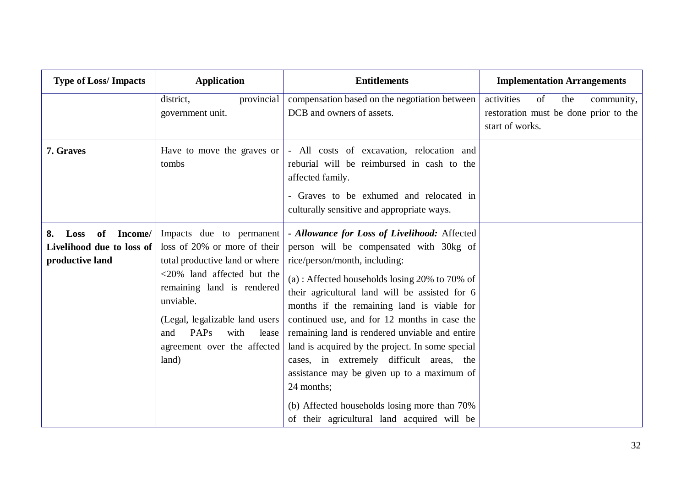| <b>Type of Loss/Impacts</b>                                                 | <b>Application</b>                                                                                                                                                                                                                                                                        | <b>Entitlements</b>                                                                                                                                                                                                                                                                                                                                                                                                                                                                                                                                                                                                                    | <b>Implementation Arrangements</b>                                                                |
|-----------------------------------------------------------------------------|-------------------------------------------------------------------------------------------------------------------------------------------------------------------------------------------------------------------------------------------------------------------------------------------|----------------------------------------------------------------------------------------------------------------------------------------------------------------------------------------------------------------------------------------------------------------------------------------------------------------------------------------------------------------------------------------------------------------------------------------------------------------------------------------------------------------------------------------------------------------------------------------------------------------------------------------|---------------------------------------------------------------------------------------------------|
|                                                                             | district,<br>provincial<br>government unit.                                                                                                                                                                                                                                               | compensation based on the negotiation between<br>DCB and owners of assets.                                                                                                                                                                                                                                                                                                                                                                                                                                                                                                                                                             | activities<br>of<br>the<br>community,<br>restoration must be done prior to the<br>start of works. |
| 7. Graves                                                                   | Have to move the graves or<br>tombs                                                                                                                                                                                                                                                       | - All costs of excavation, relocation and<br>reburial will be reimbursed in cash to the<br>affected family.<br>- Graves to be exhumed and relocated in<br>culturally sensitive and appropriate ways.                                                                                                                                                                                                                                                                                                                                                                                                                                   |                                                                                                   |
| of<br>Income/<br>8.<br>Loss<br>Livelihood due to loss of<br>productive land | Impacts due to permanent<br>loss of 20% or more of their<br>total productive land or where<br><20% land affected but the<br>remaining land is rendered<br>unviable.<br>(Legal, legalizable land users<br>PAP <sub>s</sub><br>with<br>and<br>lease<br>agreement over the affected<br>land) | - Allowance for Loss of Livelihood: Affected<br>person will be compensated with 30kg of<br>rice/person/month, including:<br>(a): Affected households losing 20% to 70% of<br>their agricultural land will be assisted for 6<br>months if the remaining land is viable for<br>continued use, and for 12 months in case the<br>remaining land is rendered unviable and entire<br>land is acquired by the project. In some special<br>cases, in extremely difficult areas, the<br>assistance may be given up to a maximum of<br>24 months;<br>(b) Affected households losing more than 70%<br>of their agricultural land acquired will be |                                                                                                   |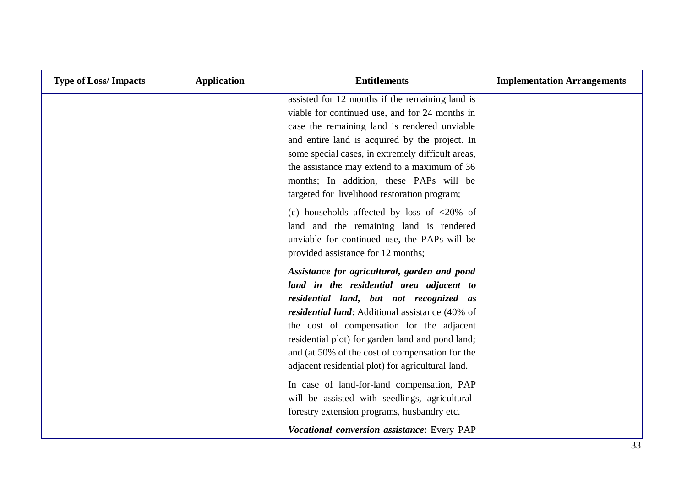| <b>Type of Loss/ Impacts</b> | <b>Application</b> | <b>Entitlements</b>                                                                                                                                                                                                                                                                                                                                                                                 | <b>Implementation Arrangements</b> |
|------------------------------|--------------------|-----------------------------------------------------------------------------------------------------------------------------------------------------------------------------------------------------------------------------------------------------------------------------------------------------------------------------------------------------------------------------------------------------|------------------------------------|
|                              |                    | assisted for 12 months if the remaining land is<br>viable for continued use, and for 24 months in<br>case the remaining land is rendered unviable<br>and entire land is acquired by the project. In<br>some special cases, in extremely difficult areas,<br>the assistance may extend to a maximum of 36<br>months; In addition, these PAPs will be<br>targeted for livelihood restoration program; |                                    |
|                              |                    | (c) households affected by loss of $\langle 20\% \rangle$ of<br>land and the remaining land is rendered<br>unviable for continued use, the PAPs will be<br>provided assistance for 12 months;                                                                                                                                                                                                       |                                    |
|                              |                    | Assistance for agricultural, garden and pond<br>land in the residential area adjacent to<br>residential land, but not recognized as<br>residential land: Additional assistance (40% of<br>the cost of compensation for the adjacent<br>residential plot) for garden land and pond land;<br>and (at 50% of the cost of compensation for the<br>adjacent residential plot) for agricultural land.     |                                    |
|                              |                    | In case of land-for-land compensation, PAP<br>will be assisted with seedlings, agricultural-<br>forestry extension programs, husbandry etc.<br>Vocational conversion assistance: Every PAP                                                                                                                                                                                                          |                                    |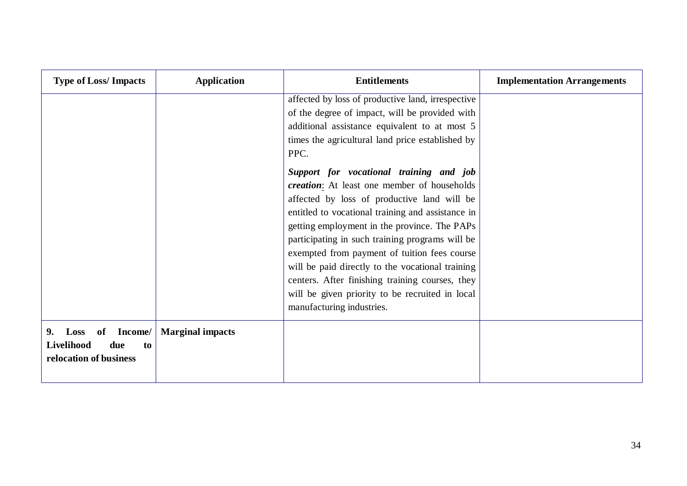| <b>Type of Loss/Impacts</b>                                                      | <b>Application</b>      | <b>Entitlements</b>                                                                                                                                                                                                                                                                                                                                                                                                                                                                                                                  | <b>Implementation Arrangements</b> |
|----------------------------------------------------------------------------------|-------------------------|--------------------------------------------------------------------------------------------------------------------------------------------------------------------------------------------------------------------------------------------------------------------------------------------------------------------------------------------------------------------------------------------------------------------------------------------------------------------------------------------------------------------------------------|------------------------------------|
|                                                                                  |                         | affected by loss of productive land, irrespective<br>of the degree of impact, will be provided with<br>additional assistance equivalent to at most 5<br>times the agricultural land price established by<br>PPC.                                                                                                                                                                                                                                                                                                                     |                                    |
|                                                                                  |                         | Support for vocational training and job<br>creation: At least one member of households<br>affected by loss of productive land will be<br>entitled to vocational training and assistance in<br>getting employment in the province. The PAPs<br>participating in such training programs will be<br>exempted from payment of tuition fees course<br>will be paid directly to the vocational training<br>centers. After finishing training courses, they<br>will be given priority to be recruited in local<br>manufacturing industries. |                                    |
| Loss<br>of<br>Income/<br>9.<br>Livelihood<br>due<br>to<br>relocation of business | <b>Marginal impacts</b> |                                                                                                                                                                                                                                                                                                                                                                                                                                                                                                                                      |                                    |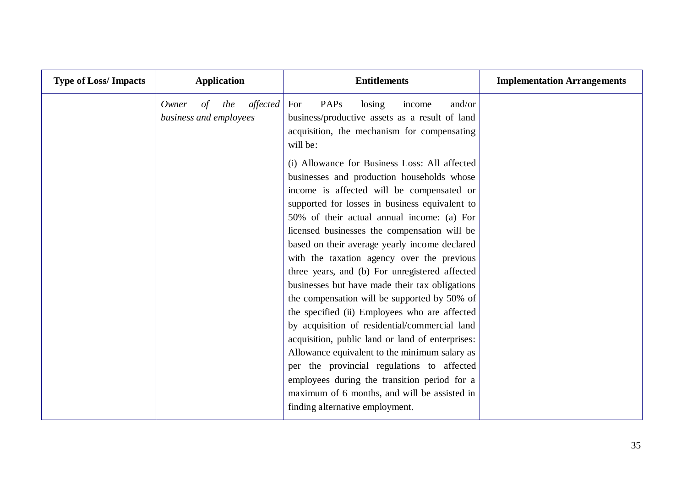| <b>Type of Loss/ Impacts</b> | <b>Application</b>                                       | <b>Entitlements</b>                                                                                                                                                                                                                                                                                                                                                                                                                                                                                                                                                                                                                                                                                                                                                                                                                                                                                                                 | <b>Implementation Arrangements</b> |
|------------------------------|----------------------------------------------------------|-------------------------------------------------------------------------------------------------------------------------------------------------------------------------------------------------------------------------------------------------------------------------------------------------------------------------------------------------------------------------------------------------------------------------------------------------------------------------------------------------------------------------------------------------------------------------------------------------------------------------------------------------------------------------------------------------------------------------------------------------------------------------------------------------------------------------------------------------------------------------------------------------------------------------------------|------------------------------------|
|                              | affected<br>Owner<br>of<br>the<br>business and employees | PAPs<br>For<br>and/or<br>$\log_{10}$<br>income<br>business/productive assets as a result of land<br>acquisition, the mechanism for compensating<br>will be:                                                                                                                                                                                                                                                                                                                                                                                                                                                                                                                                                                                                                                                                                                                                                                         |                                    |
|                              |                                                          | (i) Allowance for Business Loss: All affected<br>businesses and production households whose<br>income is affected will be compensated or<br>supported for losses in business equivalent to<br>50% of their actual annual income: (a) For<br>licensed businesses the compensation will be<br>based on their average yearly income declared<br>with the taxation agency over the previous<br>three years, and (b) For unregistered affected<br>businesses but have made their tax obligations<br>the compensation will be supported by 50% of<br>the specified (ii) Employees who are affected<br>by acquisition of residential/commercial land<br>acquisition, public land or land of enterprises:<br>Allowance equivalent to the minimum salary as<br>per the provincial regulations to affected<br>employees during the transition period for a<br>maximum of 6 months, and will be assisted in<br>finding alternative employment. |                                    |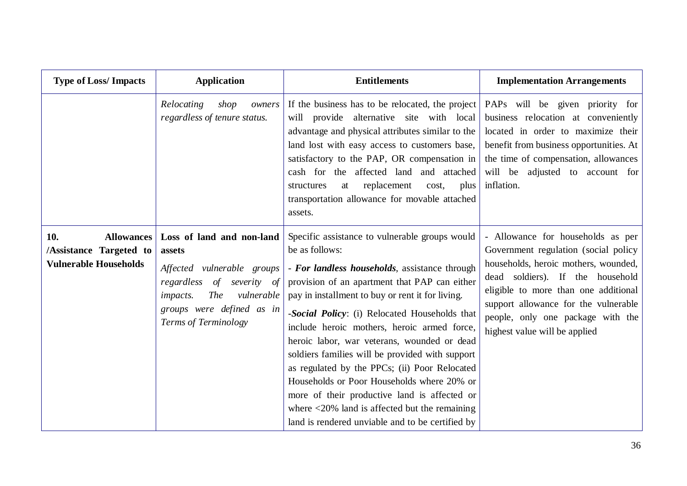| <b>Type of Loss/Impacts</b>                                                         | <b>Application</b>                                                                                                                                                                                               | <b>Entitlements</b>                                                                                                                                                                                                                                                                                                                                                                                                                                                                                                                                                                                                                                                                    | <b>Implementation Arrangements</b>                                                                                                                                                                                                                                                                          |
|-------------------------------------------------------------------------------------|------------------------------------------------------------------------------------------------------------------------------------------------------------------------------------------------------------------|----------------------------------------------------------------------------------------------------------------------------------------------------------------------------------------------------------------------------------------------------------------------------------------------------------------------------------------------------------------------------------------------------------------------------------------------------------------------------------------------------------------------------------------------------------------------------------------------------------------------------------------------------------------------------------------|-------------------------------------------------------------------------------------------------------------------------------------------------------------------------------------------------------------------------------------------------------------------------------------------------------------|
|                                                                                     | Relocating<br>shop<br>owners<br>regardless of tenure status.                                                                                                                                                     | If the business has to be relocated, the project<br>will provide alternative site with local<br>advantage and physical attributes similar to the<br>land lost with easy access to customers base,<br>satisfactory to the PAP, OR compensation in<br>cash for the affected land and attached<br>replacement<br>plus<br>structures<br>at<br>cost,<br>transportation allowance for movable attached<br>assets.                                                                                                                                                                                                                                                                            | PAPs will be given priority for<br>business relocation at conveniently<br>located in order to maximize their<br>benefit from business opportunities. At<br>the time of compensation, allowances<br>will be adjusted to account for<br>inflation.                                                            |
| 10.<br><b>Allowances</b><br>/Assistance Targeted to<br><b>Vulnerable Households</b> | Loss of land and non-land<br>assets<br>Affected vulnerable groups<br>regardless<br>$\sigma f$<br>severity of<br>vulnerable<br><b>The</b><br><i>impacts.</i><br>groups were defined as in<br>Terms of Terminology | Specific assistance to vulnerable groups would<br>be as follows:<br>- For landless households, assistance through<br>provision of an apartment that PAP can either<br>pay in installment to buy or rent it for living.<br>-Social Policy: (i) Relocated Households that<br>include heroic mothers, heroic armed force,<br>heroic labor, war veterans, wounded or dead<br>soldiers families will be provided with support<br>as regulated by the PPCs; (ii) Poor Relocated<br>Households or Poor Households where 20% or<br>more of their productive land is affected or<br>where $\langle 20\%$ land is affected but the remaining<br>land is rendered unviable and to be certified by | - Allowance for households as per<br>Government regulation (social policy<br>households, heroic mothers, wounded,<br>dead soldiers). If the household<br>eligible to more than one additional<br>support allowance for the vulnerable<br>people, only one package with the<br>highest value will be applied |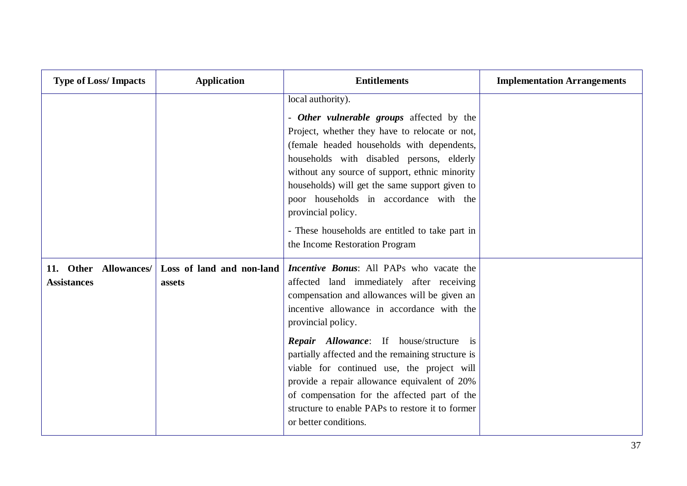| <b>Type of Loss/Impacts</b>                           | <b>Application</b>                  | <b>Entitlements</b>                                                                                                                                                                                                                                                                                                                                                                                                                                                                                                                                                                  | <b>Implementation Arrangements</b> |
|-------------------------------------------------------|-------------------------------------|--------------------------------------------------------------------------------------------------------------------------------------------------------------------------------------------------------------------------------------------------------------------------------------------------------------------------------------------------------------------------------------------------------------------------------------------------------------------------------------------------------------------------------------------------------------------------------------|------------------------------------|
|                                                       |                                     | local authority).<br>- Other vulnerable groups affected by the<br>Project, whether they have to relocate or not,<br>(female headed households with dependents,<br>households with disabled persons, elderly<br>without any source of support, ethnic minority<br>households) will get the same support given to<br>poor households in accordance with the<br>provincial policy.<br>- These households are entitled to take part in                                                                                                                                                   |                                    |
| 11. Other<br><b>Allowances/</b><br><b>Assistances</b> | Loss of land and non-land<br>assets | the Income Restoration Program<br><i>Incentive Bonus:</i> All PAPs who vacate the<br>affected land immediately after receiving<br>compensation and allowances will be given an<br>incentive allowance in accordance with the<br>provincial policy.<br><b>Repair Allowance:</b> If house/structure is<br>partially affected and the remaining structure is<br>viable for continued use, the project will<br>provide a repair allowance equivalent of 20%<br>of compensation for the affected part of the<br>structure to enable PAPs to restore it to former<br>or better conditions. |                                    |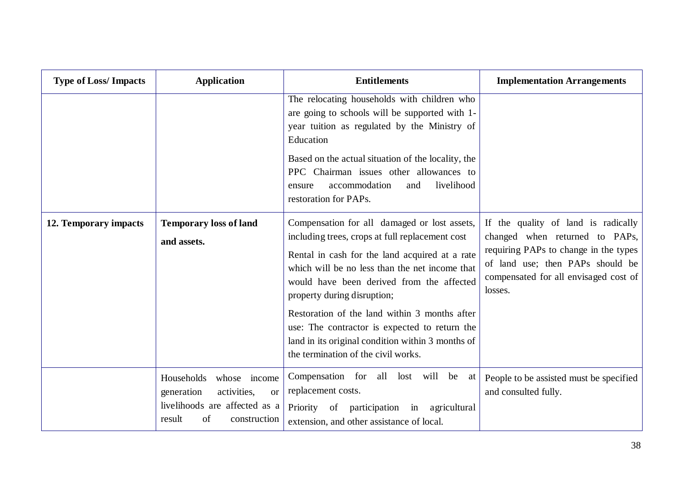| <b>Type of Loss/Impacts</b> | <b>Application</b>                                                                                                                    | <b>Entitlements</b>                                                                                                                                                                                                                                                                                                                                                                                                                                                           | <b>Implementation Arrangements</b>                                                                                                                                                                     |
|-----------------------------|---------------------------------------------------------------------------------------------------------------------------------------|-------------------------------------------------------------------------------------------------------------------------------------------------------------------------------------------------------------------------------------------------------------------------------------------------------------------------------------------------------------------------------------------------------------------------------------------------------------------------------|--------------------------------------------------------------------------------------------------------------------------------------------------------------------------------------------------------|
|                             |                                                                                                                                       | The relocating households with children who<br>are going to schools will be supported with 1-<br>year tuition as regulated by the Ministry of<br>Education                                                                                                                                                                                                                                                                                                                    |                                                                                                                                                                                                        |
|                             |                                                                                                                                       | Based on the actual situation of the locality, the<br>PPC Chairman issues other allowances to<br>livelihood<br>accommodation<br>and<br>ensure<br>restoration for PAPs.                                                                                                                                                                                                                                                                                                        |                                                                                                                                                                                                        |
| 12. Temporary impacts       | <b>Temporary loss of land</b><br>and assets.                                                                                          | Compensation for all damaged or lost assets,<br>including trees, crops at full replacement cost<br>Rental in cash for the land acquired at a rate<br>which will be no less than the net income that<br>would have been derived from the affected<br>property during disruption;<br>Restoration of the land within 3 months after<br>use: The contractor is expected to return the<br>land in its original condition within 3 months of<br>the termination of the civil works. | If the quality of land is radically<br>changed when returned to PAPs,<br>requiring PAPs to change in the types<br>of land use; then PAPs should be<br>compensated for all envisaged cost of<br>losses. |
|                             | Households<br>whose income<br>generation<br>activities,<br><b>or</b><br>livelihoods are affected as a<br>of<br>result<br>construction | Compensation for all lost will be<br>at<br>replacement costs.<br>participation in<br>Priority of<br>agricultural<br>extension, and other assistance of local.                                                                                                                                                                                                                                                                                                                 | People to be assisted must be specified<br>and consulted fully.                                                                                                                                        |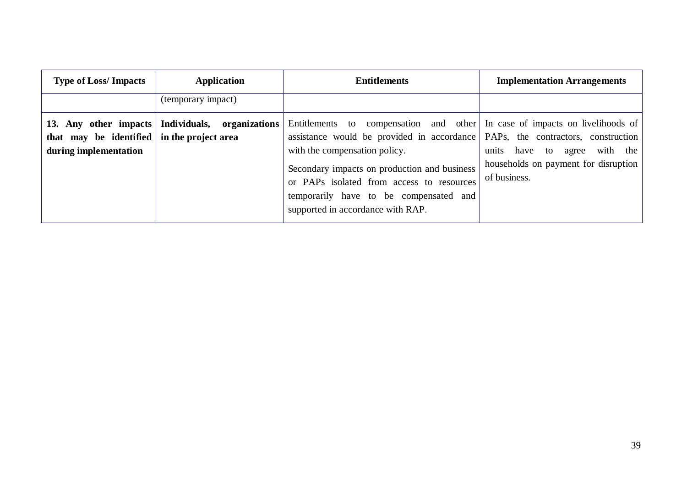| <b>Type of Loss/Impacts</b>                                         | Application                                        | <b>Entitlements</b>                                                                                                                                                                                                                                                                                                                                                        | <b>Implementation Arrangements</b>                                                         |
|---------------------------------------------------------------------|----------------------------------------------------|----------------------------------------------------------------------------------------------------------------------------------------------------------------------------------------------------------------------------------------------------------------------------------------------------------------------------------------------------------------------------|--------------------------------------------------------------------------------------------|
|                                                                     | (temporary impact)                                 |                                                                                                                                                                                                                                                                                                                                                                            |                                                                                            |
| that may be identified in the project area<br>during implementation | 13. Any other impacts   Individuals, organizations | Entitlements to compensation and other In case of impacts on livelihoods of<br>assistance would be provided in accordance PAPs, the contractors, construction<br>with the compensation policy.<br>Secondary impacts on production and business<br>or PAPs isolated from access to resources<br>temporarily have to be compensated and<br>supported in accordance with RAP. | units have to<br>with the<br>agree<br>households on payment for disruption<br>of business. |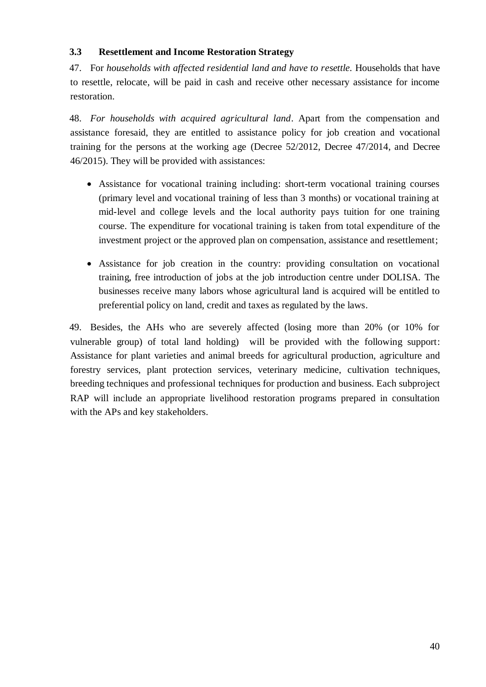#### <span id="page-44-0"></span>**3.3 Resettlement and Income Restoration Strategy**

47. For *households with affected residential land and have to resettle.* Households that have to resettle, relocate, will be paid in cash and receive other necessary assistance for income restoration.

48. *For households with acquired agricultural land*. Apart from the compensation and assistance foresaid, they are entitled to assistance policy for job creation and vocational training for the persons at the working age (Decree 52/2012, Decree 47/2014, and Decree 46/2015). They will be provided with assistances:

- Assistance for vocational training including: short-term vocational training courses (primary level and vocational training of less than 3 months) or vocational training at mid-level and college levels and the local authority pays tuition for one training course. The expenditure for vocational training is taken from total expenditure of the investment project or the approved plan on compensation, assistance and resettlement;
- Assistance for job creation in the country: providing consultation on vocational training, free introduction of jobs at the job introduction centre under DOLISA. The businesses receive many labors whose agricultural land is acquired will be entitled to preferential policy on land, credit and taxes as regulated by the laws.

49. Besides, the AHs who are severely affected (losing more than 20% (or 10% for vulnerable group) of total land holding) will be provided with the following support: Assistance for plant varieties and animal breeds for agricultural production, agriculture and forestry services, plant protection services, veterinary medicine, cultivation techniques, breeding techniques and professional techniques for production and business. Each subproject RAP will include an appropriate livelihood restoration programs prepared in consultation with the APs and key stakeholders.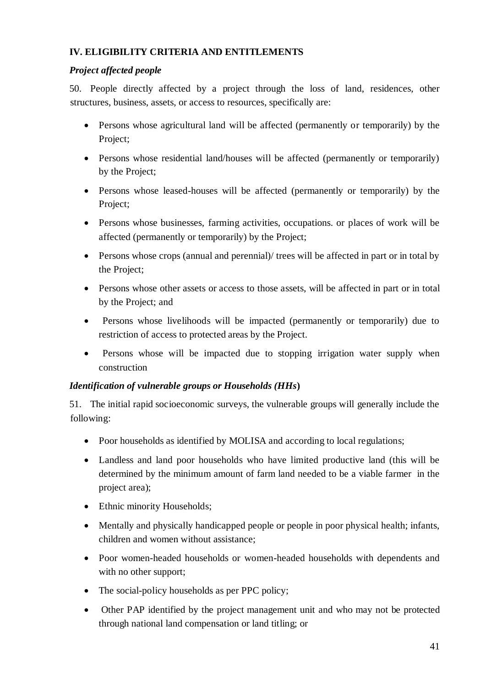### <span id="page-45-0"></span>**IV. ELIGIBILITY CRITERIA AND ENTITLEMENTS**

#### *Project affected people*

50. People directly affected by a project through the loss of land, residences, other structures, business, assets, or access to resources, specifically are:

- Persons whose agricultural land will be affected (permanently or temporarily) by the Project;
- Persons whose residential land/houses will be affected (permanently or temporarily) by the Project;
- Persons whose leased-houses will be affected (permanently or temporarily) by the Project;
- Persons whose businesses, farming activities, occupations. or places of work will be affected (permanently or temporarily) by the Project;
- Persons whose crops (annual and perennial)/ trees will be affected in part or in total by the Project;
- Persons whose other assets or access to those assets, will be affected in part or in total by the Project; and
- Persons whose livelihoods will be impacted (permanently or temporarily) due to restriction of access to protected areas by the Project.
- Persons whose will be impacted due to stopping irrigation water supply when construction

## *Identification of vulnerable groups or Households (HHs***)**

51. The initial rapid socioeconomic surveys, the vulnerable groups will generally include the following:

- Poor households as identified by MOLISA and according to local regulations;
- Landless and land poor households who have limited productive land (this will be determined by the minimum amount of farm land needed to be a viable farmer in the project area);
- Ethnic minority Households;
- Mentally and physically handicapped people or people in poor physical health; infants, children and women without assistance;
- Poor women-headed households or women-headed households with dependents and with no other support;
- The social-policy households as per PPC policy;
- Other PAP identified by the project management unit and who may not be protected through national land compensation or land titling; or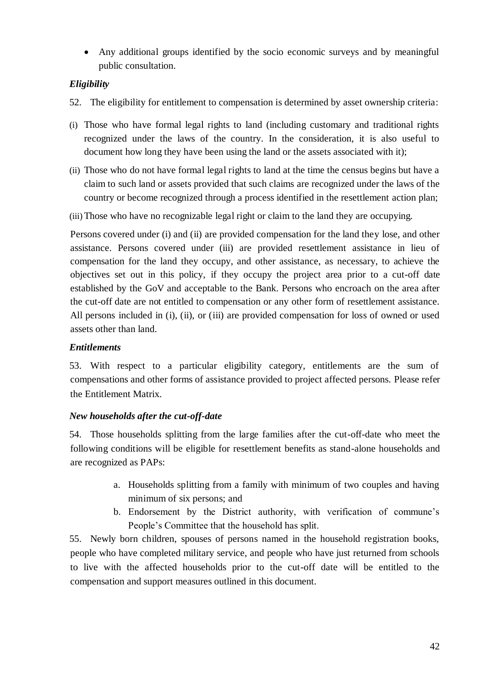Any additional groups identified by the socio economic surveys and by meaningful public consultation.

## *Eligibility*

- 52. The eligibility for entitlement to compensation is determined by asset ownership criteria:
- (i) Those who have formal legal rights to land (including customary and traditional rights recognized under the laws of the country. In the consideration, it is also useful to document how long they have been using the land or the assets associated with it);
- (ii) Those who do not have formal legal rights to land at the time the census begins but have a claim to such land or assets provided that such claims are recognized under the laws of the country or become recognized through a process identified in the resettlement action plan;
- (iii)Those who have no recognizable legal right or claim to the land they are occupying.

Persons covered under (i) and (ii) are provided compensation for the land they lose, and other assistance. Persons covered under (iii) are provided resettlement assistance in lieu of compensation for the land they occupy, and other assistance, as necessary, to achieve the objectives set out in this policy, if they occupy the project area prior to a cut-off date established by the GoV and acceptable to the Bank. Persons who encroach on the area after the cut-off date are not entitled to compensation or any other form of resettlement assistance. All persons included in (i), (ii), or (iii) are provided compensation for loss of owned or used assets other than land.

#### *Entitlements*

53. With respect to a particular eligibility category, entitlements are the sum of compensations and other forms of assistance provided to project affected persons. Please refer the Entitlement Matrix.

#### *New households after the cut-off-date*

54. Those households splitting from the large families after the cut-off-date who meet the following conditions will be eligible for resettlement benefits as stand-alone households and are recognized as PAPs:

- a. Households splitting from a family with minimum of two couples and having minimum of six persons; and
- b. Endorsement by the District authority, with verification of commune's People's Committee that the household has split.

55. Newly born children, spouses of persons named in the household registration books, people who have completed military service, and people who have just returned from schools to live with the affected households prior to the cut-off date will be entitled to the compensation and support measures outlined in this document.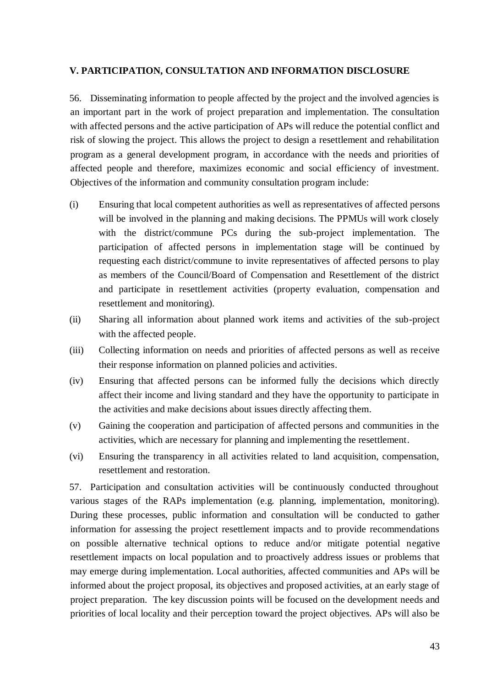#### <span id="page-47-0"></span>**V. PARTICIPATION, CONSULTATION AND INFORMATION DISCLOSURE**

56. Disseminating information to people affected by the project and the involved agencies is an important part in the work of project preparation and implementation. The consultation with affected persons and the active participation of APs will reduce the potential conflict and risk of slowing the project. This allows the project to design a resettlement and rehabilitation program as a general development program, in accordance with the needs and priorities of affected people and therefore, maximizes economic and social efficiency of investment. Objectives of the information and community consultation program include:

- (i) Ensuring that local competent authorities as well as representatives of affected persons will be involved in the planning and making decisions. The PPMUs will work closely with the district/commune PCs during the sub-project implementation. The participation of affected persons in implementation stage will be continued by requesting each district/commune to invite representatives of affected persons to play as members of the Council/Board of Compensation and Resettlement of the district and participate in resettlement activities (property evaluation, compensation and resettlement and monitoring).
- (ii) Sharing all information about planned work items and activities of the sub-project with the affected people.
- (iii) Collecting information on needs and priorities of affected persons as well as receive their response information on planned policies and activities.
- (iv) Ensuring that affected persons can be informed fully the decisions which directly affect their income and living standard and they have the opportunity to participate in the activities and make decisions about issues directly affecting them.
- (v) Gaining the cooperation and participation of affected persons and communities in the activities, which are necessary for planning and implementing the resettlement.
- (vi) Ensuring the transparency in all activities related to land acquisition, compensation, resettlement and restoration.

57. Participation and consultation activities will be continuously conducted throughout various stages of the RAPs implementation (e.g. planning, implementation, monitoring). During these processes, public information and consultation will be conducted to gather information for assessing the project resettlement impacts and to provide recommendations on possible alternative technical options to reduce and/or mitigate potential negative resettlement impacts on local population and to proactively address issues or problems that may emerge during implementation. Local authorities, affected communities and APs will be informed about the project proposal, its objectives and proposed activities, at an early stage of project preparation. The key discussion points will be focused on the development needs and priorities of local locality and their perception toward the project objectives. APs will also be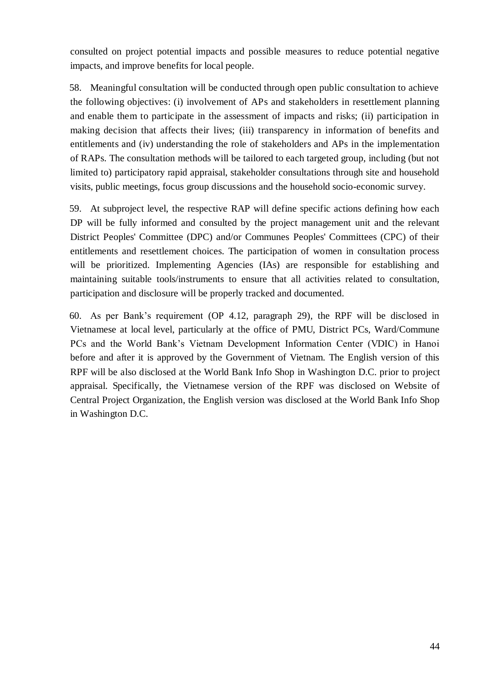consulted on project potential impacts and possible measures to reduce potential negative impacts, and improve benefits for local people.

58. Meaningful consultation will be conducted through open public consultation to achieve the following objectives: (i) involvement of APs and stakeholders in resettlement planning and enable them to participate in the assessment of impacts and risks; (ii) participation in making decision that affects their lives; (iii) transparency in information of benefits and entitlements and (iv) understanding the role of stakeholders and APs in the implementation of RAPs. The consultation methods will be tailored to each targeted group, including (but not limited to) participatory rapid appraisal, stakeholder consultations through site and household visits, public meetings, focus group discussions and the household socio-economic survey.

59. At subproject level, the respective RAP will define specific actions defining how each DP will be fully informed and consulted by the project management unit and the relevant District Peoples' Committee (DPC) and/or Communes Peoples' Committees (CPC) of their entitlements and resettlement choices. The participation of women in consultation process will be prioritized. Implementing Agencies (IAs) are responsible for establishing and maintaining suitable tools/instruments to ensure that all activities related to consultation, participation and disclosure will be properly tracked and documented.

60. As per Bank's requirement (OP 4.12, paragraph 29), the RPF will be disclosed in Vietnamese at local level, particularly at the office of PMU, District PCs, Ward/Commune PCs and the World Bank's Vietnam Development Information Center (VDIC) in Hanoi before and after it is approved by the Government of Vietnam. The English version of this RPF will be also disclosed at the World Bank Info Shop in Washington D.C. prior to project appraisal. Specifically, the Vietnamese version of the RPF was disclosed on Website of Central Project Organization, the English version was disclosed at the World Bank Info Shop in Washington D.C.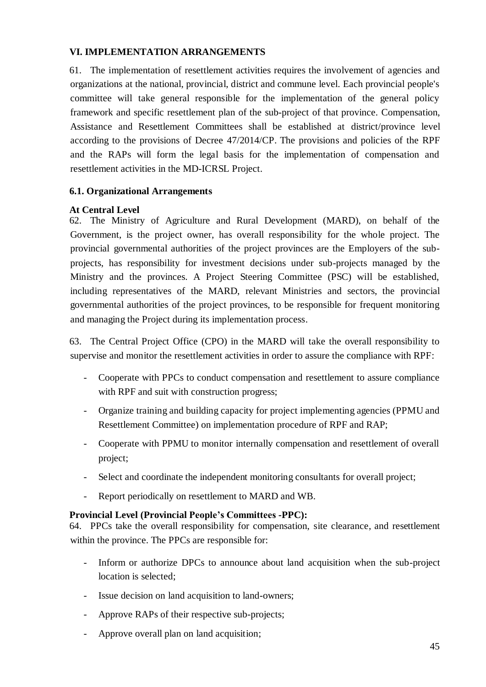#### <span id="page-49-0"></span>**VI. IMPLEMENTATION ARRANGEMENTS**

61. The implementation of resettlement activities requires the involvement of agencies and organizations at the national, provincial, district and commune level. Each provincial people's committee will take general responsible for the implementation of the general policy framework and specific resettlement plan of the sub-project of that province. Compensation, Assistance and Resettlement Committees shall be established at district/province level according to the provisions of Decree 47/2014/CP. The provisions and policies of the RPF and the RAPs will form the legal basis for the implementation of compensation and resettlement activities in the MD-ICRSL Project.

#### <span id="page-49-1"></span>**6.1. Organizational Arrangements**

#### **At Central Level**

62. The Ministry of Agriculture and Rural Development (MARD), on behalf of the Government, is the project owner, has overall responsibility for the whole project. The provincial governmental authorities of the project provinces are the Employers of the subprojects, has responsibility for investment decisions under sub-projects managed by the Ministry and the provinces. A Project Steering Committee (PSC) will be established, including representatives of the MARD, relevant Ministries and sectors, the provincial governmental authorities of the project provinces, to be responsible for frequent monitoring and managing the Project during its implementation process.

63. The Central Project Office (CPO) in the MARD will take the overall responsibility to supervise and monitor the resettlement activities in order to assure the compliance with RPF:

- Cooperate with PPCs to conduct compensation and resettlement to assure compliance with RPF and suit with construction progress;
- Organize training and building capacity for project implementing agencies (PPMU and Resettlement Committee) on implementation procedure of RPF and RAP;
- Cooperate with PPMU to monitor internally compensation and resettlement of overall project;
- Select and coordinate the independent monitoring consultants for overall project;
- Report periodically on resettlement to MARD and WB.

#### **Provincial Level (Provincial People's Committees -PPC):**

64. PPCs take the overall responsibility for compensation, site clearance, and resettlement within the province. The PPCs are responsible for:

- Inform or authorize DPCs to announce about land acquisition when the sub-project location is selected;
- Issue decision on land acquisition to land-owners;
- Approve RAPs of their respective sub-projects;
- Approve overall plan on land acquisition;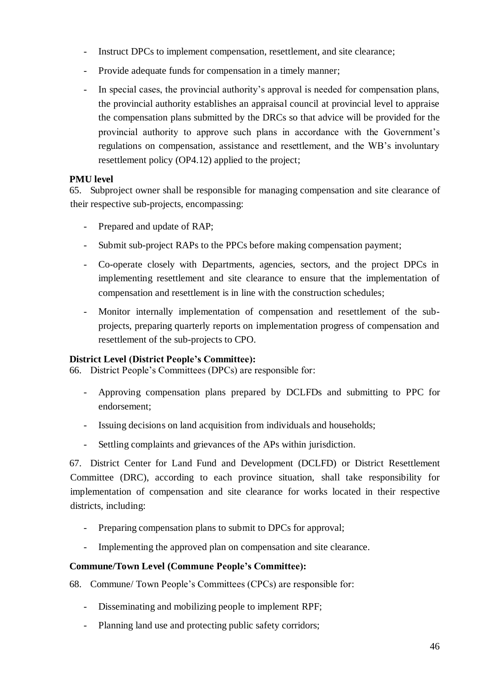- Instruct DPCs to implement compensation, resettlement, and site clearance;
- Provide adequate funds for compensation in a timely manner;
- In special cases, the provincial authority's approval is needed for compensation plans. the provincial authority establishes an appraisal council at provincial level to appraise the compensation plans submitted by the DRCs so that advice will be provided for the provincial authority to approve such plans in accordance with the Government's regulations on compensation, assistance and resettlement, and the WB's involuntary resettlement policy (OP4.12) applied to the project;

#### **PMU level**

65. Subproject owner shall be responsible for managing compensation and site clearance of their respective sub-projects, encompassing:

- Prepared and update of RAP;
- Submit sub-project RAPs to the PPCs before making compensation payment;
- Co-operate closely with Departments, agencies, sectors, and the project DPCs in implementing resettlement and site clearance to ensure that the implementation of compensation and resettlement is in line with the construction schedules;
- Monitor internally implementation of compensation and resettlement of the subprojects, preparing quarterly reports on implementation progress of compensation and resettlement of the sub-projects to CPO.

#### **District Level (District People's Committee):**

66. District People's Committees (DPCs) are responsible for:

- Approving compensation plans prepared by DCLFDs and submitting to PPC for endorsement;
- Issuing decisions on land acquisition from individuals and households;
- Settling complaints and grievances of the APs within jurisdiction.

67. District Center for Land Fund and Development (DCLFD) or District Resettlement Committee (DRC), according to each province situation, shall take responsibility for implementation of compensation and site clearance for works located in their respective districts, including:

- Preparing compensation plans to submit to DPCs for approval;
- Implementing the approved plan on compensation and site clearance.

#### **Commune/Town Level (Commune People's Committee):**

- 68. Commune/ Town People's Committees (CPCs) are responsible for:
	- Disseminating and mobilizing people to implement RPF;
	- Planning land use and protecting public safety corridors;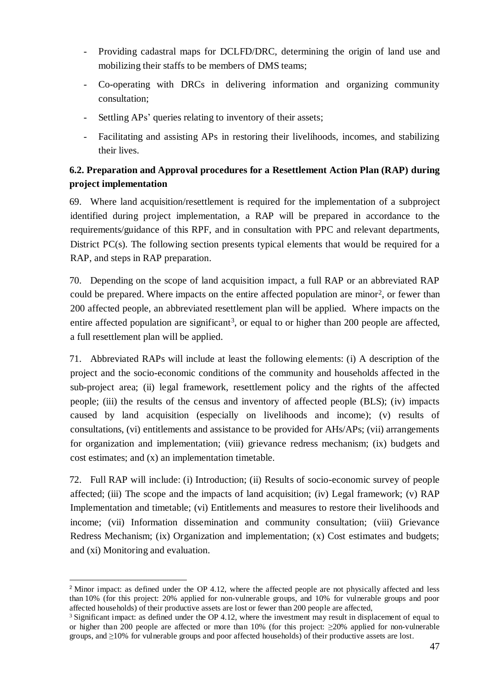- Providing cadastral maps for DCLFD/DRC, determining the origin of land use and mobilizing their staffs to be members of DMS teams;
- Co-operating with DRCs in delivering information and organizing community consultation;
- Settling APs' queries relating to inventory of their assets;
- Facilitating and assisting APs in restoring their livelihoods, incomes, and stabilizing their lives.

## <span id="page-51-0"></span>**6.2. Preparation and Approval procedures for a Resettlement Action Plan (RAP) during project implementation**

69. Where land acquisition/resettlement is required for the implementation of a subproject identified during project implementation, a RAP will be prepared in accordance to the requirements/guidance of this RPF, and in consultation with PPC and relevant departments, District PC(s). The following section presents typical elements that would be required for a RAP, and steps in RAP preparation.

70. Depending on the scope of land acquisition impact, a full RAP or an abbreviated RAP could be prepared. Where impacts on the entire affected population are minor<sup>2</sup>, or fewer than 200 affected people, an abbreviated resettlement plan will be applied. Where impacts on the entire affected population are significant<sup>3</sup>, or equal to or higher than 200 people are affected, a full resettlement plan will be applied.

71. Abbreviated RAPs will include at least the following elements: (i) A description of the project and the socio-economic conditions of the community and households affected in the sub-project area; (ii) legal framework, resettlement policy and the rights of the affected people; (iii) the results of the census and inventory of affected people (BLS); (iv) impacts caused by land acquisition (especially on livelihoods and income); (v) results of consultations, (vi) entitlements and assistance to be provided for AHs/APs; (vii) arrangements for organization and implementation; (viii) grievance redress mechanism; (ix) budgets and cost estimates; and (x) an implementation timetable.

72. Full RAP will include: (i) Introduction; (ii) Results of socio-economic survey of people affected; (iii) The scope and the impacts of land acquisition; (iv) Legal framework; (v) RAP Implementation and timetable; (vi) Entitlements and measures to restore their livelihoods and income; (vii) Information dissemination and community consultation; (viii) Grievance Redress Mechanism; (ix) Organization and implementation; (x) Cost estimates and budgets; and (xi) Monitoring and evaluation.

1

<sup>&</sup>lt;sup>2</sup> Minor impact: as defined under the OP 4.12, where the affected people are not physically affected and less than 10% (for this project: 20% applied for non-vulnerable groups, and 10% for vulnerable groups and poor affected households) of their productive assets are lost or fewer than 200 people are affected,

<sup>&</sup>lt;sup>3</sup> Significant impact: as defined under the OP 4.12, where the investment may result in displacement of equal to or higher than 200 people are affected or more than 10% (for this project: ≥20% applied for non-vulnerable groups, and ≥10% for vulnerable groups and poor affected households) of their productive assets are lost.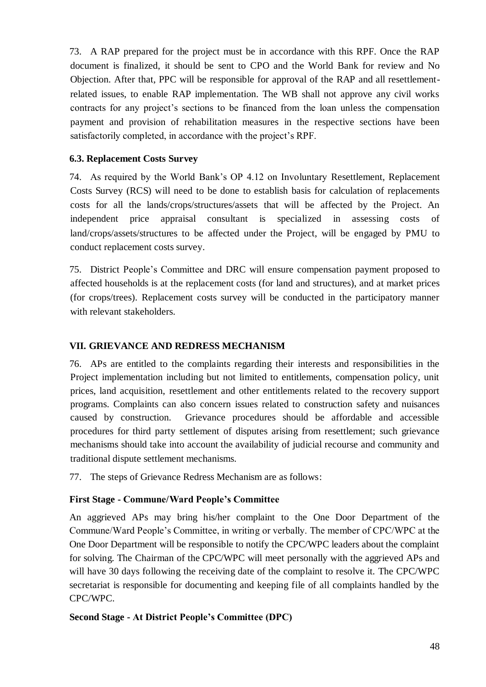73. A RAP prepared for the project must be in accordance with this RPF. Once the RAP document is finalized, it should be sent to CPO and the World Bank for review and No Objection. After that, PPC will be responsible for approval of the RAP and all resettlementrelated issues, to enable RAP implementation. The WB shall not approve any civil works contracts for any project's sections to be financed from the loan unless the compensation payment and provision of rehabilitation measures in the respective sections have been satisfactorily completed, in accordance with the project's RPF.

#### <span id="page-52-0"></span>**6.3. Replacement Costs Survey**

74. As required by the World Bank's OP 4.12 on Involuntary Resettlement, Replacement Costs Survey (RCS) will need to be done to establish basis for calculation of replacements costs for all the lands/crops/structures/assets that will be affected by the Project. An independent price appraisal consultant is specialized in assessing costs of land/crops/assets/structures to be affected under the Project, will be engaged by PMU to conduct replacement costs survey.

75. District People's Committee and DRC will ensure compensation payment proposed to affected households is at the replacement costs (for land and structures), and at market prices (for crops/trees). Replacement costs survey will be conducted in the participatory manner with relevant stakeholders.

#### <span id="page-52-1"></span>**VII. GRIEVANCE AND REDRESS MECHANISM**

76. APs are entitled to the complaints regarding their interests and responsibilities in the Project implementation including but not limited to entitlements, compensation policy, unit prices, land acquisition, resettlement and other entitlements related to the recovery support programs. Complaints can also concern issues related to construction safety and nuisances caused by construction. Grievance procedures should be affordable and accessible procedures for third party settlement of disputes arising from resettlement; such grievance mechanisms should take into account the availability of judicial recourse and community and traditional dispute settlement mechanisms.

77. The steps of Grievance Redress Mechanism are as follows:

#### **First Stage - Commune/Ward People's Committee**

An aggrieved APs may bring his/her complaint to the One Door Department of the Commune/Ward People's Committee, in writing or verbally. The member of CPC/WPC at the One Door Department will be responsible to notify the CPC/WPC leaders about the complaint for solving. The Chairman of the CPC/WPC will meet personally with the aggrieved APs and will have 30 days following the receiving date of the complaint to resolve it. The CPC/WPC secretariat is responsible for documenting and keeping file of all complaints handled by the CPC/WPC.

#### **Second Stage - At District People's Committee (DPC)**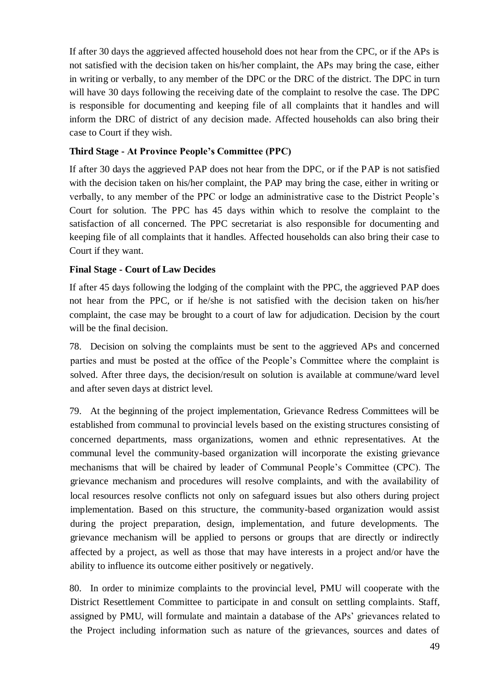If after 30 days the aggrieved affected household does not hear from the CPC, or if the APs is not satisfied with the decision taken on his/her complaint, the APs may bring the case, either in writing or verbally, to any member of the DPC or the DRC of the district. The DPC in turn will have 30 days following the receiving date of the complaint to resolve the case. The DPC is responsible for documenting and keeping file of all complaints that it handles and will inform the DRC of district of any decision made. Affected households can also bring their case to Court if they wish.

#### **Third Stage - At Province People's Committee (PPC)**

If after 30 days the aggrieved PAP does not hear from the DPC, or if the PAP is not satisfied with the decision taken on his/her complaint, the PAP may bring the case, either in writing or verbally, to any member of the PPC or lodge an administrative case to the District People's Court for solution. The PPC has 45 days within which to resolve the complaint to the satisfaction of all concerned. The PPC secretariat is also responsible for documenting and keeping file of all complaints that it handles. Affected households can also bring their case to Court if they want.

#### **Final Stage - Court of Law Decides**

If after 45 days following the lodging of the complaint with the PPC, the aggrieved PAP does not hear from the PPC, or if he/she is not satisfied with the decision taken on his/her complaint, the case may be brought to a court of law for adjudication. Decision by the court will be the final decision.

78. Decision on solving the complaints must be sent to the aggrieved APs and concerned parties and must be posted at the office of the People's Committee where the complaint is solved. After three days, the decision/result on solution is available at commune/ward level and after seven days at district level.

79. At the beginning of the project implementation, Grievance Redress Committees will be established from communal to provincial levels based on the existing structures consisting of concerned departments, mass organizations, women and ethnic representatives. At the communal level the community-based organization will incorporate the existing grievance mechanisms that will be chaired by leader of Communal People's Committee (CPC). The grievance mechanism and procedures will resolve complaints, and with the availability of local resources resolve conflicts not only on safeguard issues but also others during project implementation. Based on this structure, the community-based organization would assist during the project preparation, design, implementation, and future developments. The grievance mechanism will be applied to persons or groups that are directly or indirectly affected by a project, as well as those that may have interests in a project and/or have the ability to influence its outcome either positively or negatively.

80. In order to minimize complaints to the provincial level, PMU will cooperate with the District Resettlement Committee to participate in and consult on settling complaints. Staff, assigned by PMU, will formulate and maintain a database of the APs' grievances related to the Project including information such as nature of the grievances, sources and dates of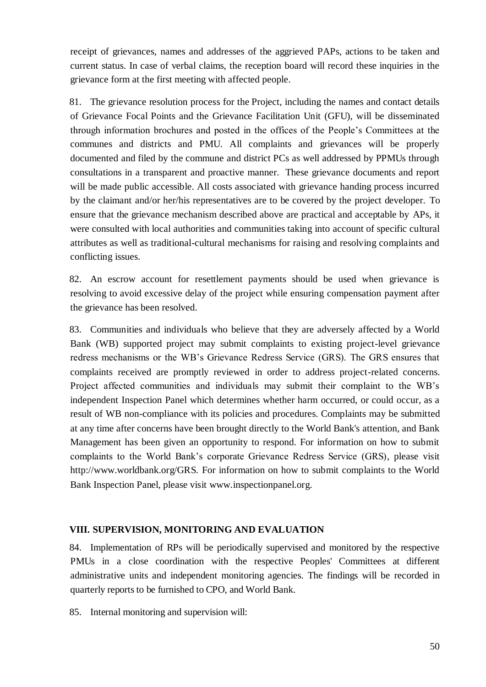receipt of grievances, names and addresses of the aggrieved PAPs, actions to be taken and current status. In case of verbal claims, the reception board will record these inquiries in the grievance form at the first meeting with affected people.

81. The grievance resolution process for the Project, including the names and contact details of Grievance Focal Points and the Grievance Facilitation Unit (GFU), will be disseminated through information brochures and posted in the offices of the People's Committees at the communes and districts and PMU. All complaints and grievances will be properly documented and filed by the commune and district PCs as well addressed by PPMUs through consultations in a transparent and proactive manner. These grievance documents and report will be made public accessible. All costs associated with grievance handing process incurred by the claimant and/or her/his representatives are to be covered by the project developer. To ensure that the grievance mechanism described above are practical and acceptable by APs, it were consulted with local authorities and communities taking into account of specific cultural attributes as well as traditional-cultural mechanisms for raising and resolving complaints and conflicting issues.

82. An escrow account for resettlement payments should be used when grievance is resolving to avoid excessive delay of the project while ensuring compensation payment after the grievance has been resolved.

83. Communities and individuals who believe that they are adversely affected by a World Bank (WB) supported project may submit complaints to existing project-level grievance redress mechanisms or the WB's Grievance Redress Service (GRS). The GRS ensures that complaints received are promptly reviewed in order to address project-related concerns. Project affected communities and individuals may submit their complaint to the WB's independent Inspection Panel which determines whether harm occurred, or could occur, as a result of WB non-compliance with its policies and procedures. Complaints may be submitted at any time after concerns have been brought directly to the World Bank's attention, and Bank Management has been given an opportunity to respond. For information on how to submit complaints to the World Bank's corporate Grievance Redress Service (GRS), please visit [http://www.worldbank.org/GRS.](http://www.worldbank.org/GRS) For information on how to submit complaints to the World Bank Inspection Panel, please visit [www.inspectionpanel.org.](http://www.inspectionpanel.org/)

#### <span id="page-54-0"></span>**VIII. SUPERVISION, MONITORING AND EVALUATION**

84. Implementation of RPs will be periodically supervised and monitored by the respective PMUs in a close coordination with the respective Peoples' Committees at different administrative units and independent monitoring agencies. The findings will be recorded in quarterly reports to be furnished to CPO, and World Bank.

85. Internal monitoring and supervision will: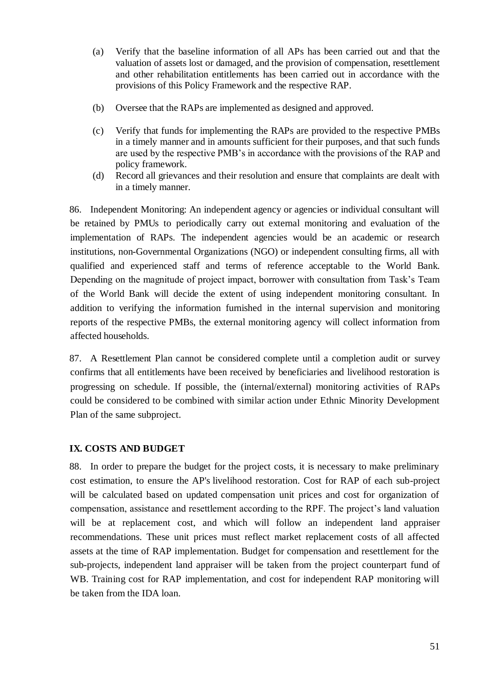- (a) Verify that the baseline information of all APs has been carried out and that the valuation of assets lost or damaged, and the provision of compensation, resettlement and other rehabilitation entitlements has been carried out in accordance with the provisions of this Policy Framework and the respective RAP.
- (b) Oversee that the RAPs are implemented as designed and approved.
- (c) Verify that funds for implementing the RAPs are provided to the respective PMBs in a timely manner and in amounts sufficient for their purposes, and that such funds are used by the respective PMB's in accordance with the provisions of the RAP and policy framework.
- (d) Record all grievances and their resolution and ensure that complaints are dealt with in a timely manner.

86. Independent Monitoring: An independent agency or agencies or individual consultant will be retained by PMUs to periodically carry out external monitoring and evaluation of the implementation of RAPs. The independent agencies would be an academic or research institutions, non-Governmental Organizations (NGO) or independent consulting firms, all with qualified and experienced staff and terms of reference acceptable to the World Bank. Depending on the magnitude of project impact, borrower with consultation from Task's Team of the World Bank will decide the extent of using independent monitoring consultant. In addition to verifying the information furnished in the internal supervision and monitoring reports of the respective PMBs, the external monitoring agency will collect information from affected households.

87. A Resettlement Plan cannot be considered complete until a completion audit or survey confirms that all entitlements have been received by beneficiaries and livelihood restoration is progressing on schedule. If possible, the (internal/external) monitoring activities of RAPs could be considered to be combined with similar action under Ethnic Minority Development Plan of the same subproject.

#### <span id="page-55-0"></span>**IX. COSTS AND BUDGET**

88. In order to prepare the budget for the project costs, it is necessary to make preliminary cost estimation, to ensure the AP's livelihood restoration. Cost for RAP of each sub-project will be calculated based on updated compensation unit prices and cost for organization of compensation, assistance and resettlement according to the RPF. The project's land valuation will be at replacement cost, and which will follow an independent land appraiser recommendations. These unit prices must reflect market replacement costs of all affected assets at the time of RAP implementation. Budget for compensation and resettlement for the sub-projects, independent land appraiser will be taken from the project counterpart fund of WB. Training cost for RAP implementation, and cost for independent RAP monitoring will be taken from the IDA loan.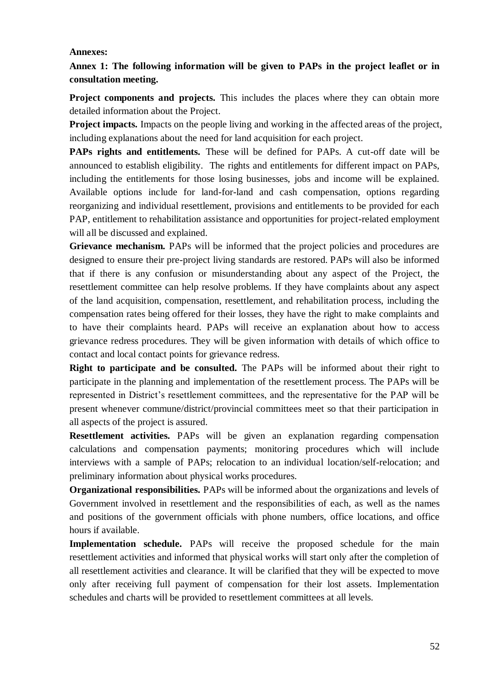#### <span id="page-56-0"></span>**Annexes:**

<span id="page-56-1"></span>**Annex 1: The following information will be given to PAPs in the project leaflet or in consultation meeting.**

**Project components and projects.** This includes the places where they can obtain more detailed information about the Project.

**Project impacts.** Impacts on the people living and working in the affected areas of the project, including explanations about the need for land acquisition for each project.

**PAPs rights and entitlements.** These will be defined for PAPs. A cut-off date will be announced to establish eligibility. The rights and entitlements for different impact on PAPs, including the entitlements for those losing businesses, jobs and income will be explained. Available options include for land-for-land and cash compensation, options regarding reorganizing and individual resettlement, provisions and entitlements to be provided for each PAP, entitlement to rehabilitation assistance and opportunities for project-related employment will all be discussed and explained.

**Grievance mechanism.** PAPs will be informed that the project policies and procedures are designed to ensure their pre-project living standards are restored. PAPs will also be informed that if there is any confusion or misunderstanding about any aspect of the Project, the resettlement committee can help resolve problems. If they have complaints about any aspect of the land acquisition, compensation, resettlement, and rehabilitation process, including the compensation rates being offered for their losses, they have the right to make complaints and to have their complaints heard. PAPs will receive an explanation about how to access grievance redress procedures. They will be given information with details of which office to contact and local contact points for grievance redress.

**Right to participate and be consulted.** The PAPs will be informed about their right to participate in the planning and implementation of the resettlement process. The PAPs will be represented in District's resettlement committees, and the representative for the PAP will be present whenever commune/district/provincial committees meet so that their participation in all aspects of the project is assured.

**Resettlement activities.** PAPs will be given an explanation regarding compensation calculations and compensation payments; monitoring procedures which will include interviews with a sample of PAPs; relocation to an individual location/self-relocation; and preliminary information about physical works procedures.

**Organizational responsibilities.** PAPs will be informed about the organizations and levels of Government involved in resettlement and the responsibilities of each, as well as the names and positions of the government officials with phone numbers, office locations, and office hours if available.

**Implementation schedule.** PAPs will receive the proposed schedule for the main resettlement activities and informed that physical works will start only after the completion of all resettlement activities and clearance. It will be clarified that they will be expected to move only after receiving full payment of compensation for their lost assets. Implementation schedules and charts will be provided to resettlement committees at all levels.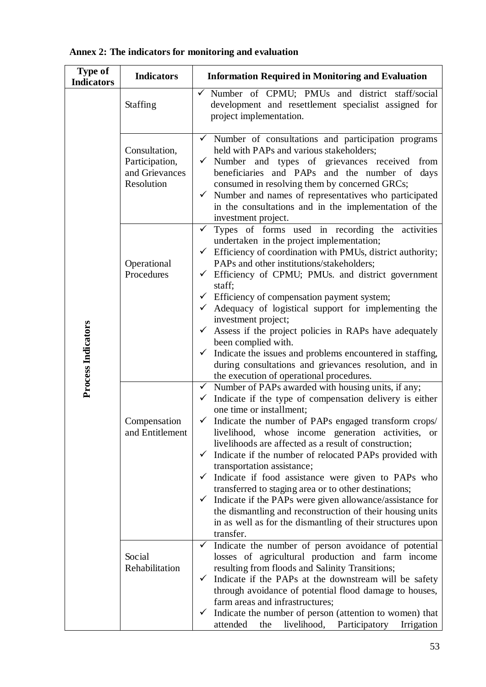| Type of<br><b>Indicators</b> | <b>Indicators</b>                                               | <b>Information Required in Monitoring and Evaluation</b>                                                                                                                                                                                                                                                                                                                                                                                                                                                                                                                                                                                                                                                                                                                                                                                          |  |  |  |
|------------------------------|-----------------------------------------------------------------|---------------------------------------------------------------------------------------------------------------------------------------------------------------------------------------------------------------------------------------------------------------------------------------------------------------------------------------------------------------------------------------------------------------------------------------------------------------------------------------------------------------------------------------------------------------------------------------------------------------------------------------------------------------------------------------------------------------------------------------------------------------------------------------------------------------------------------------------------|--|--|--|
|                              | <b>Staffing</b>                                                 | V Number of CPMU; PMUs and district staff/social<br>development and resettlement specialist assigned for<br>project implementation.                                                                                                                                                                                                                                                                                                                                                                                                                                                                                                                                                                                                                                                                                                               |  |  |  |
|                              | Consultation,<br>Participation,<br>and Grievances<br>Resolution | $\checkmark$ Number of consultations and participation programs<br>held with PAPs and various stakeholders;<br>$\checkmark$ Number and types of grievances received<br>from<br>beneficiaries and PAPs and the number of days<br>consumed in resolving them by concerned GRCs;<br>$\checkmark$ Number and names of representatives who participated<br>in the consultations and in the implementation of the<br>investment project.                                                                                                                                                                                                                                                                                                                                                                                                                |  |  |  |
| Process Indicators           | Operational<br>Procedures                                       | Types of forms used in recording the activities<br>✓<br>undertaken in the project implementation;<br>$\checkmark$ Efficiency of coordination with PMUs, district authority;<br>PAPs and other institutions/stakeholders;<br>Efficiency of CPMU; PMUs. and district government<br>$\checkmark$<br>staff;<br>$\checkmark$ Efficiency of compensation payment system;<br>Adequacy of logistical support for implementing the<br>$\checkmark$<br>investment project;<br>Assess if the project policies in RAPs have adequately<br>$\checkmark$<br>been complied with.<br>Indicate the issues and problems encountered in staffing,<br>$\checkmark$<br>during consultations and grievances resolution, and in                                                                                                                                          |  |  |  |
|                              | Compensation<br>and Entitlement                                 | the execution of operational procedures.<br>$\checkmark$ Number of PAPs awarded with housing units, if any;<br>$\checkmark$ Indicate if the type of compensation delivery is either<br>one time or installment:<br>$\checkmark$ Indicate the number of PAPs engaged transform crops/<br>livelihood, whose income generation activities,<br>or<br>livelihoods are affected as a result of construction;<br>Indicate if the number of relocated PAPs provided with<br>transportation assistance;<br>Indicate if food assistance were given to PAPs who<br>$\checkmark$<br>transferred to staging area or to other destinations;<br>Indicate if the PAPs were given allowance/assistance for<br>$\checkmark$<br>the dismantling and reconstruction of their housing units<br>in as well as for the dismantling of their structures upon<br>transfer. |  |  |  |
|                              | Social<br>Rehabilitation                                        | $\checkmark$ Indicate the number of person avoidance of potential<br>losses of agricultural production and farm income<br>resulting from floods and Salinity Transitions;<br>$\checkmark$ Indicate if the PAPs at the downstream will be safety<br>through avoidance of potential flood damage to houses,<br>farm areas and infrastructures;<br>Indicate the number of person (attention to women) that<br>$\checkmark$<br>attended<br>the<br>livelihood,<br>Participatory<br>Irrigation                                                                                                                                                                                                                                                                                                                                                          |  |  |  |

<span id="page-57-0"></span>**Annex 2: The indicators for monitoring and evaluation**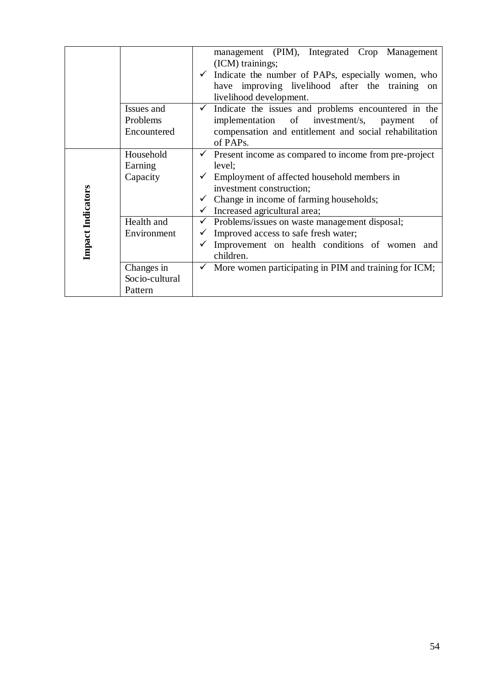|                          | Issues and<br>Problems<br>Encountered   | management (PIM), Integrated Crop Management<br>(ICM) trainings;<br>$\checkmark$ Indicate the number of PAPs, especially women, who<br>have improving livelihood after the training<br><sub>on</sub><br>livelihood development.<br>Indicate the issues and problems encountered in the<br>$\checkmark$<br>implementation of investment/s,<br>payment<br>of<br>compensation and entitlement and social rehabilitation |  |  |  |
|--------------------------|-----------------------------------------|----------------------------------------------------------------------------------------------------------------------------------------------------------------------------------------------------------------------------------------------------------------------------------------------------------------------------------------------------------------------------------------------------------------------|--|--|--|
|                          | Household                               | of PAPs.<br>Present income as compared to income from pre-project<br>$\checkmark$                                                                                                                                                                                                                                                                                                                                    |  |  |  |
| <b>Impact Indicators</b> | Earning<br>Capacity                     | level;<br>Employment of affected household members in<br>investment construction;<br>Change in income of farming households;<br>Increased agricultural area;                                                                                                                                                                                                                                                         |  |  |  |
|                          | Health and<br>Environment               | Problems/issues on waste management disposal;<br>Improved access to safe fresh water;<br>Improvement on health conditions of women and<br>children.                                                                                                                                                                                                                                                                  |  |  |  |
|                          | Changes in<br>Socio-cultural<br>Pattern | More women participating in PIM and training for ICM;                                                                                                                                                                                                                                                                                                                                                                |  |  |  |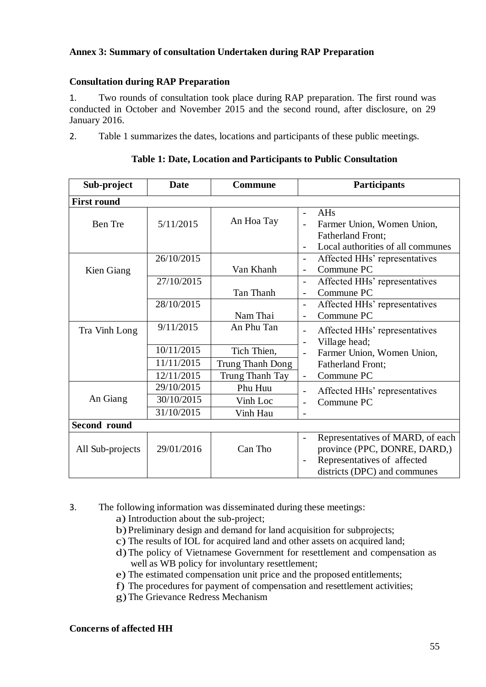#### **Annex 3: Summary of consultation Undertaken during RAP Preparation**

#### **Consultation during RAP Preparation**

1. Two rounds of consultation took place during RAP preparation. The first round was conducted in October and November 2015 and the second round, after disclosure, on 29 January 2016.

2. Table 1 summarizes the dates, locations and participants of these public meetings.

| Sub-project         | <b>Date</b> | Commune          |                                                      | <b>Participants</b>                                                                                                             |  |
|---------------------|-------------|------------------|------------------------------------------------------|---------------------------------------------------------------------------------------------------------------------------------|--|
| <b>First round</b>  |             |                  |                                                      |                                                                                                                                 |  |
| <b>Ben Tre</b>      | 5/11/2015   | An Hoa Tay       |                                                      | $A$ Hs<br>Farmer Union, Women Union,<br><b>Fatherland Front;</b><br>Local authorities of all communes                           |  |
| Kien Giang          | 26/10/2015  | Van Khanh        | $\overline{\phantom{a}}$<br>$\overline{\phantom{a}}$ | Affected HHs' representatives<br>Commune PC                                                                                     |  |
|                     | 27/10/2015  | Tan Thanh        | $\overline{\phantom{a}}$                             | Affected HHs' representatives<br>Commune PC                                                                                     |  |
|                     | 28/10/2015  | Nam Thai         |                                                      | Affected HHs' representatives<br>Commune PC                                                                                     |  |
| Tra Vinh Long       | 9/11/2015   | An Phu Tan       | $\overline{\phantom{a}}$                             | Affected HHs' representatives<br>Village head;                                                                                  |  |
|                     | 10/11/2015  | Tich Thien,      |                                                      | Farmer Union, Women Union,                                                                                                      |  |
|                     | 11/11/2015  | Trung Thanh Dong |                                                      | <b>Fatherland Front;</b>                                                                                                        |  |
|                     | 12/11/2015  | Trung Thanh Tay  | $\overline{\phantom{a}}$                             | Commune PC                                                                                                                      |  |
| An Giang            | 29/10/2015  | Phu Huu          |                                                      | Affected HHs' representatives                                                                                                   |  |
|                     | 30/10/2015  | Vinh Loc         |                                                      | Commune PC                                                                                                                      |  |
|                     | 31/10/2015  | Vinh Hau         |                                                      |                                                                                                                                 |  |
| <b>Second round</b> |             |                  |                                                      |                                                                                                                                 |  |
| All Sub-projects    | 29/01/2016  | Can Tho          | $\overline{\phantom{a}}$                             | Representatives of MARD, of each<br>province (PPC, DONRE, DARD,)<br>Representatives of affected<br>districts (DPC) and communes |  |

**Table 1: Date, Location and Participants to Public Consultation**

3. The following information was disseminated during these meetings:

a) Introduction about the sub-project;

- b)Preliminary design and demand for land acquisition for subprojects;
- c) The results of IOL for acquired land and other assets on acquired land;
- d)The policy of Vietnamese Government for resettlement and compensation as well as WB policy for involuntary resettlement;
- e) The estimated compensation unit price and the proposed entitlements;
- f) The procedures for payment of compensation and resettlement activities;
- g)The Grievance Redress Mechanism

#### **Concerns of affected HH**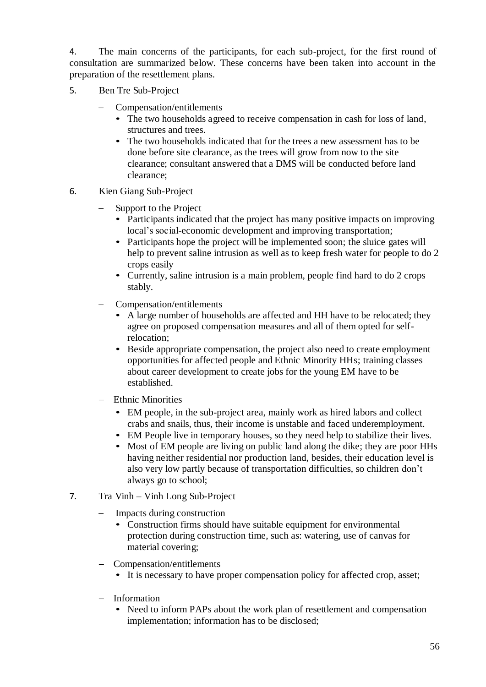4. The main concerns of the participants, for each sub-project, for the first round of consultation are summarized below. These concerns have been taken into account in the preparation of the resettlement plans.

- 5. Ben Tre Sub-Project
	- Compensation/entitlements
		- The two households agreed to receive compensation in cash for loss of land, structures and trees.
		- The two households indicated that for the trees a new assessment has to be done before site clearance, as the trees will grow from now to the site clearance; consultant answered that a DMS will be conducted before land clearance;
- 6. Kien Giang Sub-Project
	- Support to the Project
		- Participants indicated that the project has many positive impacts on improving local's social-economic development and improving transportation;
		- Participants hope the project will be implemented soon; the sluice gates will help to prevent saline intrusion as well as to keep fresh water for people to do 2 crops easily
		- Currently, saline intrusion is a main problem, people find hard to do 2 crops stably.
	- Compensation/entitlements
		- A large number of households are affected and HH have to be relocated; they agree on proposed compensation measures and all of them opted for selfrelocation;
		- Beside appropriate compensation, the project also need to create employment opportunities for affected people and Ethnic Minority HHs; training classes about career development to create jobs for the young EM have to be established.
	- Ethnic Minorities
		- EM people, in the sub-project area, mainly work as hired labors and collect crabs and snails, thus, their income is unstable and faced underemployment.
		- EM People live in temporary houses, so they need help to stabilize their lives.
		- Most of EM people are living on public land along the dike; they are poor HHs having neither residential nor production land, besides, their education level is also very low partly because of transportation difficulties, so children don't always go to school;
- 7. Tra Vinh Vinh Long Sub-Project
	- Impacts during construction
		- Construction firms should have suitable equipment for environmental protection during construction time, such as: watering, use of canvas for material covering;
	- Compensation/entitlements
		- It is necessary to have proper compensation policy for affected crop, asset;
	- Information
		- Need to inform PAPs about the work plan of resettlement and compensation implementation; information has to be disclosed;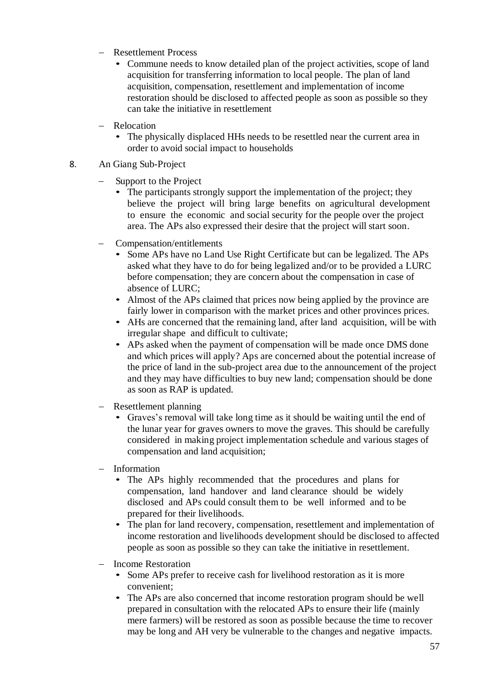- Resettlement Process
	- Commune needs to know detailed plan of the project activities, scope of land acquisition for transferring information to local people. The plan of land acquisition, compensation, resettlement and implementation of income restoration should be disclosed to affected people as soon as possible so they can take the initiative in resettlement
- Relocation
	- The physically displaced HHs needs to be resettled near the current area in order to avoid social impact to households
- 8. An Giang Sub-Project
	- Support to the Project
		- The participants strongly support the implementation of the project; they believe the project will bring large benefits on agricultural development to ensure the economic and social security for the people over the project area. The APs also expressed their desire that the project will start soon.
	- Compensation/entitlements
		- Some APs have no Land Use Right Certificate but can be legalized. The APs asked what they have to do for being legalized and/or to be provided a LURC before compensation; they are concern about the compensation in case of absence of LURC;
		- Almost of the APs claimed that prices now being applied by the province are fairly lower in comparison with the market prices and other provinces prices.
		- AHs are concerned that the remaining land, after land acquisition, will be with irregular shape and difficult to cultivate;
		- APs asked when the payment of compensation will be made once DMS done and which prices will apply? Aps are concerned about the potential increase of the price of land in the sub-project area due to the announcement of the project and they may have difficulties to buy new land; compensation should be done as soon as RAP is updated.
	- Resettlement planning
		- Graves's removal will take long time as it should be waiting until the end of the lunar year for graves owners to move the graves. This should be carefully considered in making project implementation schedule and various stages of compensation and land acquisition;
	- Information
		- The APs highly recommended that the procedures and plans for compensation, land handover and land clearance should be widely disclosed and APs could consult them to be well informed and to be prepared for their livelihoods.
		- The plan for land recovery, compensation, resettlement and implementation of income restoration and livelihoods development should be disclosed to affected people as soon as possible so they can take the initiative in resettlement.
	- Income Restoration
		- Some APs prefer to receive cash for livelihood restoration as it is more convenient;
		- The APs are also concerned that income restoration program should be well prepared in consultation with the relocated APs to ensure their life (mainly mere farmers) will be restored as soon as possible because the time to recover may be long and AH very be vulnerable to the changes and negative impacts.